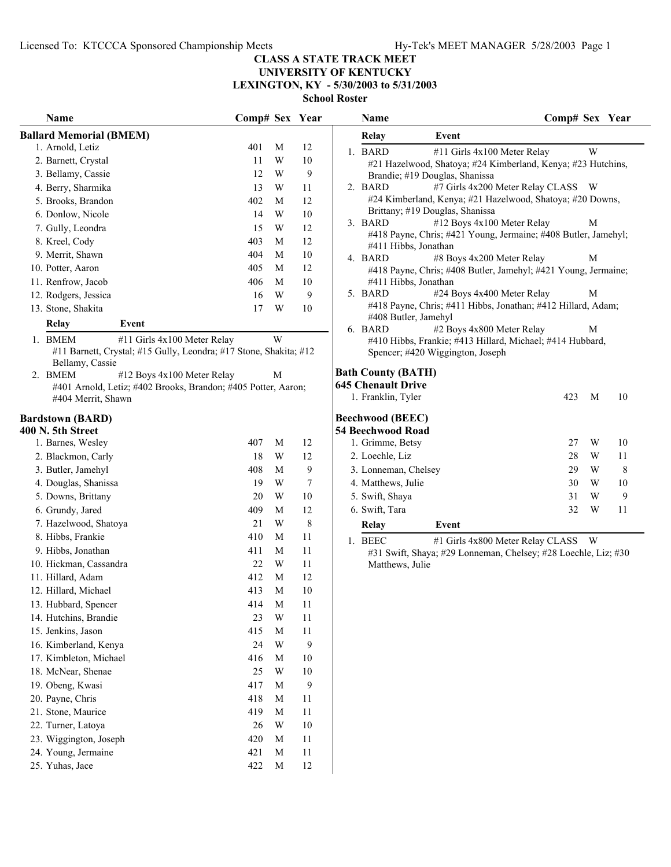## **UNIVERSITY OF KENTUCKY LEXINGTON, KY - 5/30/2003 to 5/31/2003**

| Name                                                                                 | Comp# Sex Year |                         |                  | Name                                                                                              | Comp# Sex Year                     |    |
|--------------------------------------------------------------------------------------|----------------|-------------------------|------------------|---------------------------------------------------------------------------------------------------|------------------------------------|----|
| <b>Ballard Memorial (BMEM)</b>                                                       |                |                         |                  | Event<br>Relay                                                                                    |                                    |    |
| 1. Arnold, Letiz                                                                     | 401            | M                       | 12               | 1. BARD<br>#11 Girls 4x100 Meter Relay                                                            | $\ensuremath{\text{W}}$            |    |
| 2. Barnett, Crystal                                                                  | 11             | W                       | 10               | #21 Hazelwood, Shatoya; #24 Kimberland, Kenya; #23 Hutchins,                                      |                                    |    |
| 3. Bellamy, Cassie                                                                   | 12             | W                       | 9                | Brandie; #19 Douglas, Shanissa                                                                    |                                    |    |
| 4. Berry, Sharmika                                                                   | 13             | W                       | 11               | 2. BARD                                                                                           | #7 Girls 4x200 Meter Relay CLASS W |    |
| 5. Brooks, Brandon                                                                   | 402            | M                       | 12               | #24 Kimberland, Kenya; #21 Hazelwood, Shatoya; #20 Downs,                                         |                                    |    |
| 6. Donlow, Nicole                                                                    | 14             | W                       | $10\,$           | Brittany; #19 Douglas, Shanissa                                                                   |                                    |    |
| 7. Gully, Leondra                                                                    | 15             | W                       | 12               | 3. BARD<br>#12 Boys 4x100 Meter Relay                                                             | M                                  |    |
| 8. Kreel, Cody                                                                       | 403            | M                       | 12               | #418 Payne, Chris; #421 Young, Jermaine; #408 Butler, Jamehyl;<br>#411 Hibbs, Jonathan            |                                    |    |
| 9. Merrit, Shawn                                                                     | 404            | M                       | $10\,$           | 4. BARD<br>#8 Boys 4x200 Meter Relay                                                              | М                                  |    |
| 10. Potter, Aaron                                                                    | 405            | M                       | 12               | #418 Payne, Chris; #408 Butler, Jamehyl; #421 Young, Jermaine;                                    |                                    |    |
| 11. Renfrow, Jacob                                                                   | 406            | M                       | $10\,$           | #411 Hibbs, Jonathan                                                                              |                                    |    |
| 12. Rodgers, Jessica                                                                 | 16             | W                       | $\mathbf{9}$     | 5. BARD<br>#24 Boys 4x400 Meter Relay                                                             | M                                  |    |
| 13. Stone, Shakita                                                                   | 17             | W                       | $10\,$           | #418 Payne, Chris; #411 Hibbs, Jonathan; #412 Hillard, Adam;                                      |                                    |    |
| Relay<br>Event                                                                       |                |                         |                  | #408 Butler, Jamehyl                                                                              |                                    |    |
| 1. BMEM<br>#11 Girls 4x100 Meter Relay                                               |                | W                       |                  | #2 Boys 4x800 Meter Relay<br>6. BARD<br>#410 Hibbs, Frankie; #413 Hillard, Michael; #414 Hubbard, | M                                  |    |
| #11 Barnett, Crystal; #15 Gully, Leondra; #17 Stone, Shakita; #12<br>Bellamy, Cassie |                |                         |                  | Spencer; #420 Wiggington, Joseph                                                                  |                                    |    |
| 2. BMEM<br>#12 Boys 4x100 Meter Relay                                                |                | M                       |                  | <b>Bath County (BATH)</b>                                                                         |                                    |    |
| #401 Arnold, Letiz; #402 Brooks, Brandon; #405 Potter, Aaron;                        |                |                         |                  | <b>645 Chenault Drive</b>                                                                         |                                    |    |
| #404 Merrit, Shawn                                                                   |                |                         |                  | 1. Franklin, Tyler                                                                                | M<br>423                           | 10 |
| <b>Bardstown (BARD)</b>                                                              |                |                         |                  | <b>Beechwood (BEEC)</b>                                                                           |                                    |    |
| 400 N. 5th Street                                                                    |                |                         |                  | 54 Beechwood Road                                                                                 | 27<br>W                            | 10 |
| 1. Barnes, Wesley                                                                    | 407            | M                       | 12               | 1. Grimme, Betsy                                                                                  |                                    |    |
| 2. Blackmon, Carly                                                                   | 18             | W                       | 12               | 2. Loechle, Liz                                                                                   | 28<br>W                            | 11 |
| 3. Butler, Jamehyl                                                                   | 408            | M                       | 9                | 3. Lonneman, Chelsey                                                                              | W<br>29                            | 8  |
| 4. Douglas, Shanissa                                                                 | 19             | W                       | 7                | 4. Matthews, Julie                                                                                | 30<br>W                            | 10 |
| 5. Downs, Brittany                                                                   | 20             | W                       | 10               | 5. Swift, Shaya                                                                                   | 31<br>W                            | 9  |
| 6. Grundy, Jared                                                                     | 409            | M                       | 12               | 6. Swift, Tara                                                                                    | 32<br>W                            | 11 |
| 7. Hazelwood, Shatoya                                                                | 21             | W                       | 8                | Relay<br>Event                                                                                    |                                    |    |
| 8. Hibbs, Frankie                                                                    | 410            | M                       | 11               | 1. BEEC                                                                                           | #1 Girls 4x800 Meter Relay CLASS W |    |
| 9. Hibbs, Jonathan                                                                   | 411            | M                       | 11               | #31 Swift, Shaya; #29 Lonneman, Chelsey; #28 Loechle, Liz; #30                                    |                                    |    |
| 10. Hickman, Cassandra                                                               | 22             | W                       | 11               | Matthews, Julie                                                                                   |                                    |    |
| 11. Hillard, Adam                                                                    | 412            | $\mathbf M$             | 12               |                                                                                                   |                                    |    |
| 12. Hillard, Michael                                                                 | 413            | M                       | 10               |                                                                                                   |                                    |    |
| 13. Hubbard, Spencer                                                                 | 414            | $\mathbf M$             | 11               |                                                                                                   |                                    |    |
| 14. Hutchins, Brandie                                                                | 23             | W                       | $11\,$           |                                                                                                   |                                    |    |
| 15. Jenkins, Jason                                                                   | 415            | M                       | $11\,$           |                                                                                                   |                                    |    |
| 16. Kimberland, Kenya                                                                | 24             | $\ensuremath{\text{W}}$ | $\mathbf{9}$     |                                                                                                   |                                    |    |
| 17. Kimbleton, Michael                                                               | 416            | M                       | $10\,$           |                                                                                                   |                                    |    |
| 18. McNear, Shenae                                                                   | 25             | W                       | $10\,$           |                                                                                                   |                                    |    |
| 19. Obeng, Kwasi                                                                     | 417            | M                       | $\boldsymbol{9}$ |                                                                                                   |                                    |    |
| 20. Payne, Chris                                                                     | 418            | M                       | 11               |                                                                                                   |                                    |    |
| 21. Stone, Maurice                                                                   | 419            | $\mathbf M$             | 11               |                                                                                                   |                                    |    |
| 22. Turner, Latoya                                                                   | 26             | $\ensuremath{\text{W}}$ | $10\,$           |                                                                                                   |                                    |    |
| 23. Wiggington, Joseph                                                               | 420            | M                       | 11               |                                                                                                   |                                    |    |
| 24. Young, Jermaine                                                                  | 421            | M                       | 11               |                                                                                                   |                                    |    |
| 25. Yuhas, Jace                                                                      | 422            | M                       | $12\,$           |                                                                                                   |                                    |    |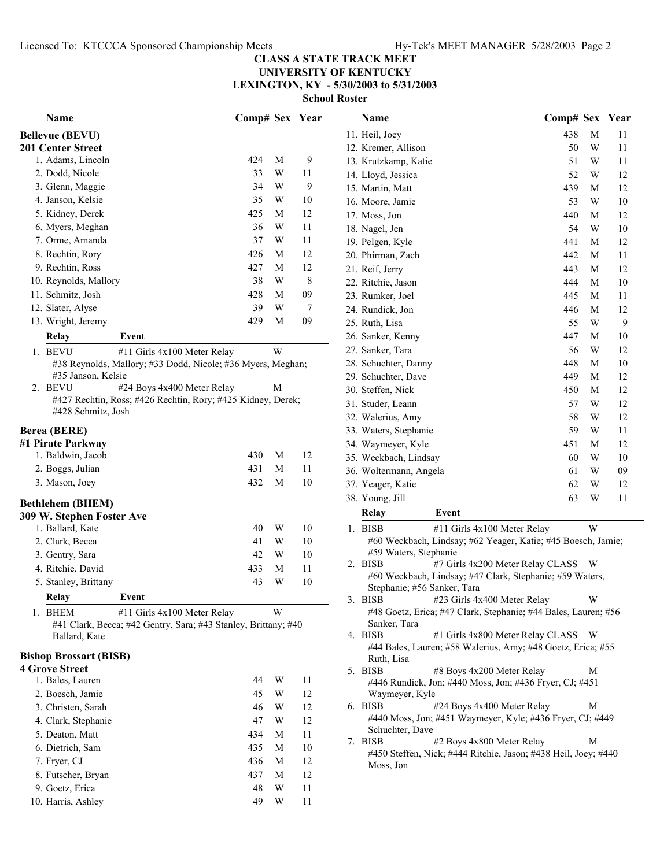## **CLASS A STATE TRACK MEET UNIVERSITY OF KENTUCKY LEXINGTON, KY - 5/30/2003 to 5/31/2003**

| Name                                                           | Comp# Sex Year |                         |         | Name                                                                                               | Comp# Sex Year                     |   |        |
|----------------------------------------------------------------|----------------|-------------------------|---------|----------------------------------------------------------------------------------------------------|------------------------------------|---|--------|
| <b>Bellevue (BEVU)</b>                                         |                |                         |         | 11. Heil, Joey                                                                                     | 438                                | M | 11     |
| 201 Center Street                                              |                |                         |         | 12. Kremer, Allison                                                                                | 50                                 | W | 11     |
| 1. Adams, Lincoln                                              | 424            | M                       | 9       | 13. Krutzkamp, Katie                                                                               | 51                                 | W | 11     |
| 2. Dodd, Nicole                                                | 33             | W                       | 11      | 14. Lloyd, Jessica                                                                                 | 52                                 | W | 12     |
| 3. Glenn, Maggie                                               | 34             | W                       | 9       | 15. Martin, Matt                                                                                   | 439                                | M | 12     |
| 4. Janson, Kelsie                                              | 35             | W                       | 10      | 16. Moore, Jamie                                                                                   | 53                                 | W | 10     |
| 5. Kidney, Derek                                               | 425            | M                       | 12      | 17. Moss, Jon                                                                                      | 440                                | M | 12     |
| 6. Myers, Meghan                                               | 36             | W                       | 11      | 18. Nagel, Jen                                                                                     | 54                                 | W | 10     |
| 7. Orme, Amanda                                                | 37             | W                       | 11      | 19. Pelgen, Kyle                                                                                   | 441                                | M | 12     |
| 8. Rechtin, Rory                                               | 426            | M                       | 12      | 20. Phirman, Zach                                                                                  | 442                                | M | 11     |
| 9. Rechtin, Ross                                               | 427            | M                       | 12      | 21. Reif, Jerry                                                                                    | 443                                | M | 12     |
| 10. Reynolds, Mallory                                          | 38             | W                       | $\,8\,$ | 22. Ritchie, Jason                                                                                 | 444                                | M | $10\,$ |
| 11. Schmitz, Josh                                              | 428            | М                       | 09      | 23. Rumker, Joel                                                                                   | 445                                | M | 11     |
| 12. Slater, Alyse                                              | 39             | W                       | 7       | 24. Rundick, Jon                                                                                   | 446                                | M | 12     |
| 13. Wright, Jeremy                                             | 429            | M                       | 09      | 25. Ruth, Lisa                                                                                     | 55                                 | W | 9      |
| <b>Relay</b><br>Event                                          |                |                         |         | 26. Sanker, Kenny                                                                                  | 447                                | M | 10     |
| #11 Girls 4x100 Meter Relay<br>1. BEVU                         |                | W                       |         | 27. Sanker, Tara                                                                                   | 56                                 | W | 12     |
| #38 Reynolds, Mallory; #33 Dodd, Nicole; #36 Myers, Meghan;    |                |                         |         | 28. Schuchter, Danny                                                                               | 448                                | M | 10     |
| #35 Janson, Kelsie                                             |                |                         |         | 29. Schuchter, Dave                                                                                | 449                                | M | 12     |
| 2. BEVU<br>#24 Boys 4x400 Meter Relay                          |                | M                       |         | 30. Steffen, Nick                                                                                  | 450                                | M | 12     |
| #427 Rechtin, Ross; #426 Rechtin, Rory; #425 Kidney, Derek;    |                |                         |         | 31. Studer, Leann                                                                                  | 57                                 | W | 12     |
| #428 Schmitz, Josh                                             |                |                         |         | 32. Walerius, Amy                                                                                  | 58                                 | W | 12     |
| <b>Berea (BERE)</b>                                            |                |                         |         | 33. Waters, Stephanie                                                                              | 59                                 | W | 11     |
| #1 Pirate Parkway                                              |                |                         |         | 34. Waymeyer, Kyle                                                                                 | 451                                | M | 12     |
| 1. Baldwin, Jacob                                              | 430            | M                       | 12      | 35. Weckbach, Lindsay                                                                              | 60                                 | W | 10     |
| 2. Boggs, Julian                                               | 431            | M                       | 11      | 36. Woltermann, Angela                                                                             | 61                                 | W | 09     |
| 3. Mason, Joey                                                 | 432            | M                       | 10      | 37. Yeager, Katie                                                                                  | 62                                 | W | 12     |
|                                                                |                |                         |         | 38. Young, Jill                                                                                    | 63                                 | W | 11     |
| <b>Bethlehem (BHEM)</b>                                        |                |                         |         | Relay<br>Event                                                                                     |                                    |   |        |
| 309 W. Stephen Foster Ave<br>1. Ballard, Kate                  | 40             | W                       | 10      | 1. BISB<br>#11 Girls 4x100 Meter Relay                                                             |                                    | W |        |
| 2. Clark, Becca                                                | 41             | W                       | 10      | #60 Weckbach, Lindsay; #62 Yeager, Katie; #45 Boesch, Jamie;                                       |                                    |   |        |
| 3. Gentry, Sara                                                | 42             | W                       | $10\,$  | #59 Waters, Stephanie                                                                              |                                    |   |        |
| 4. Ritchie, David                                              | 433            | M                       | 11      | 2. BISB                                                                                            | #7 Girls 4x200 Meter Relay CLASS W |   |        |
| 5. Stanley, Brittany                                           | 43             | W                       | $10\,$  | #60 Weckbach, Lindsay; #47 Clark, Stephanie; #59 Waters,                                           |                                    |   |        |
|                                                                |                |                         |         | Stephanie; #56 Sanker, Tara                                                                        |                                    |   |        |
| Relay<br>Event                                                 |                |                         |         | 3. BISB<br>#23 Girls 4x400 Meter Relay                                                             |                                    |   |        |
| #11 Girls 4x100 Meter Relay<br>1. BHEM                         |                | W                       |         | #48 Goetz, Erica; #47 Clark, Stephanie; #44 Bales, Lauren; #56                                     |                                    |   |        |
| #41 Clark, Becca; #42 Gentry, Sara; #43 Stanley, Brittany; #40 |                |                         |         | Sanker, Tara<br>4. BISB                                                                            | #1 Girls 4x800 Meter Relay CLASS W |   |        |
| Ballard, Kate                                                  |                |                         |         | #44 Bales, Lauren; #58 Walerius, Amy; #48 Goetz, Erica; #55                                        |                                    |   |        |
| <b>Bishop Brossart (BISB)</b>                                  |                |                         |         | Ruth, Lisa                                                                                         |                                    |   |        |
| <b>4 Grove Street</b>                                          |                |                         |         | #8 Boys 4x200 Meter Relay<br>5. BISB                                                               |                                    | М |        |
| 1. Bales, Lauren                                               | 44             | W                       | 11      | #446 Rundick, Jon; #440 Moss, Jon; #436 Fryer, CJ; #451                                            |                                    |   |        |
| 2. Boesch, Jamie                                               | 45             | $\ensuremath{\text{W}}$ | 12      | Waymeyer, Kyle                                                                                     |                                    |   |        |
| 3. Christen, Sarah                                             | 46             | W                       | 12      | 6. BISB<br>#24 Boys 4x400 Meter Relay<br>#440 Moss, Jon; #451 Waymeyer, Kyle; #436 Fryer, CJ; #449 |                                    | M |        |
| 4. Clark, Stephanie                                            | 47             | W                       | 12      | Schuchter, Dave                                                                                    |                                    |   |        |
| 5. Deaton, Matt                                                | 434            | M                       | 11      | 7. BISB<br>#2 Boys 4x800 Meter Relay                                                               |                                    | M |        |
| 6. Dietrich, Sam                                               | 435            | M                       | $10\,$  | #450 Steffen, Nick; #444 Ritchie, Jason; #438 Heil, Joey; #440                                     |                                    |   |        |
| 7. Fryer, CJ                                                   | 436            | M                       | 12      | Moss, Jon                                                                                          |                                    |   |        |
| 8. Futscher, Bryan                                             | 437            | M                       | 12      |                                                                                                    |                                    |   |        |
| 9. Goetz, Erica                                                | 48             | W                       | 11      |                                                                                                    |                                    |   |        |
| 10. Harris, Ashley                                             | 49             | W                       | 11      |                                                                                                    |                                    |   |        |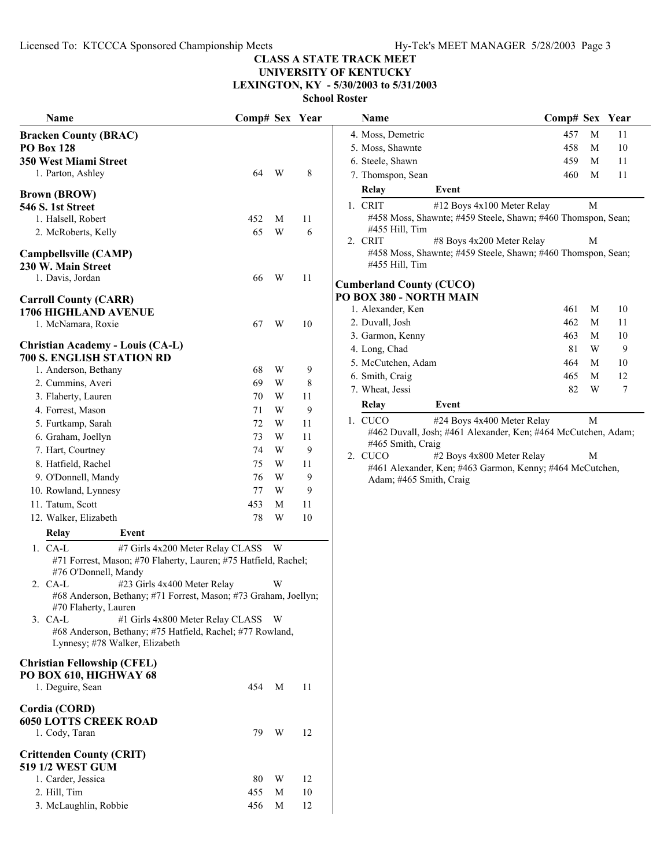**UNIVERSITY OF KENTUCKY LEXINGTON, KY - 5/30/2003 to 5/31/2003**

| Name                                                                                        | Comp# Sex Year |   |    | Name                                                         | Comp# Sex Year |   |    |
|---------------------------------------------------------------------------------------------|----------------|---|----|--------------------------------------------------------------|----------------|---|----|
| <b>Bracken County (BRAC)</b>                                                                |                |   |    | 4. Moss, Demetric                                            | 457            | M | 11 |
| <b>PO Box 128</b>                                                                           |                |   |    | 5. Moss, Shawnte                                             | 458            | M | 10 |
| 350 West Miami Street                                                                       |                |   |    | 6. Steele, Shawn                                             | 459            | M | 11 |
| 1. Parton, Ashley                                                                           | 64             | W | 8  | 7. Thomspon, Sean                                            | 460            | M | 11 |
|                                                                                             |                |   |    | Relay<br>Event                                               |                |   |    |
| <b>Brown (BROW)</b><br><b>546 S. 1st Street</b>                                             |                |   |    | 1. CRIT<br>#12 Boys 4x100 Meter Relay                        |                | M |    |
| 1. Halsell, Robert                                                                          | 452            | M | 11 | #458 Moss, Shawnte; #459 Steele, Shawn; #460 Thomspon, Sean; |                |   |    |
| 2. McRoberts, Kelly                                                                         | 65             | W | 6  | #455 Hill, Tim                                               |                |   |    |
|                                                                                             |                |   |    | #8 Boys 4x200 Meter Relay<br>2. CRIT                         |                | М |    |
| Campbellsville (CAMP)                                                                       |                |   |    | #458 Moss, Shawnte; #459 Steele, Shawn; #460 Thomspon, Sean; |                |   |    |
| 230 W. Main Street                                                                          |                |   |    | #455 Hill, Tim                                               |                |   |    |
| 1. Davis, Jordan                                                                            | 66             | W | 11 | <b>Cumberland County (CUCO)</b>                              |                |   |    |
| <b>Carroll County (CARR)</b>                                                                |                |   |    | PO BOX 380 - NORTH MAIN                                      |                |   |    |
| <b>1706 HIGHLAND AVENUE</b>                                                                 |                |   |    | 1. Alexander, Ken                                            | 461            | M | 10 |
| 1. McNamara, Roxie                                                                          | 67             | W | 10 | 2. Duvall, Josh                                              | 462            | M | 11 |
|                                                                                             |                |   |    | 3. Garmon, Kenny                                             | 463            | M | 10 |
| <b>Christian Academy - Louis (CA-L)</b>                                                     |                |   |    | 4. Long, Chad                                                | 81             | W | 9  |
| 700 S. ENGLISH STATION RD                                                                   |                |   |    | 5. McCutchen, Adam                                           | 464            | M | 10 |
| 1. Anderson, Bethany                                                                        | 68             | W | 9  | 6. Smith, Craig                                              | 465            | M | 12 |
| 2. Cummins, Averi                                                                           | 69             | W | 8  | 7. Wheat, Jessi                                              | 82             | W | 7  |
| 3. Flaherty, Lauren                                                                         | 70             | W | 11 | Event<br>Relay                                               |                |   |    |
| 4. Forrest, Mason                                                                           | 71             | W | 9  | 1. CUCO<br>#24 Boys 4x400 Meter Relay                        |                | M |    |
| 5. Furtkamp, Sarah                                                                          | 72             | W | 11 | #462 Duvall, Josh; #461 Alexander, Ken; #464 McCutchen, Adam |                |   |    |
| 6. Graham, Joellyn                                                                          | 73             | W | 11 | #465 Smith, Craig                                            |                |   |    |
| 7. Hart, Courtney                                                                           | 74             | W | 9  | 2. CUCO<br>#2 Boys 4x800 Meter Relay                         |                | М |    |
| 8. Hatfield, Rachel                                                                         | 75             | W | 11 | #461 Alexander, Ken; #463 Garmon, Kenny; #464 McCutchen,     |                |   |    |
| 9. O'Donnell, Mandy                                                                         | 76             | W | 9  | Adam; #465 Smith, Craig                                      |                |   |    |
| 10. Rowland, Lynnesy                                                                        | 77             | W | 9  |                                                              |                |   |    |
| 11. Tatum, Scott                                                                            | 453            | M | 11 |                                                              |                |   |    |
| 12. Walker, Elizabeth                                                                       | 78             | W | 10 |                                                              |                |   |    |
| Relay<br>Event                                                                              |                |   |    |                                                              |                |   |    |
| 1. CA-L<br>#7 Girls 4x200 Meter Relay CLASS                                                 |                | W |    |                                                              |                |   |    |
| #71 Forrest, Mason; #70 Flaherty, Lauren; #75 Hatfield, Rachel;<br>#76 O'Donnell, Mandy     |                |   |    |                                                              |                |   |    |
| #23 Girls 4x400 Meter Relay<br>2. CA-L                                                      |                | W |    |                                                              |                |   |    |
| #68 Anderson, Bethany; #71 Forrest, Mason; #73 Graham, Joellyn;<br>#70 Flaherty, Lauren     |                |   |    |                                                              |                |   |    |
| 3. CA-L<br>#1 Girls 4x800 Meter Relay CLASS W                                               |                |   |    |                                                              |                |   |    |
| #68 Anderson, Bethany; #75 Hatfield, Rachel; #77 Rowland,<br>Lynnesy; #78 Walker, Elizabeth |                |   |    |                                                              |                |   |    |
| <b>Christian Fellowship (CFEL)</b>                                                          |                |   |    |                                                              |                |   |    |
| PO BOX 610, HIGHWAY 68<br>1. Deguire, Sean                                                  | 454            | M | 11 |                                                              |                |   |    |
|                                                                                             |                |   |    |                                                              |                |   |    |
| Cordia (CORD)                                                                               |                |   |    |                                                              |                |   |    |
| <b>6050 LOTTS CREEK ROAD</b>                                                                |                |   |    |                                                              |                |   |    |
| 1. Cody, Taran                                                                              | 79             | W | 12 |                                                              |                |   |    |
| <b>Crittenden County (CRIT)</b><br><b>519 1/2 WEST GUM</b>                                  |                |   |    |                                                              |                |   |    |
| 1. Carder, Jessica                                                                          | 80             | W | 12 |                                                              |                |   |    |
| 2. Hill, Tim                                                                                | 455            | M | 10 |                                                              |                |   |    |
| 3. McLaughlin, Robbie                                                                       | 456            | M | 12 |                                                              |                |   |    |

| Name                                                       |                                                               | Comp# Sex |   | Year |
|------------------------------------------------------------|---------------------------------------------------------------|-----------|---|------|
| 4. Moss, Demetric                                          |                                                               | 457       | M | 11   |
| 5. Moss, Shawnte                                           |                                                               | 458       | M | 10   |
| 6. Steele, Shawn                                           |                                                               | 459       | M | 11   |
| 7. Thomspon, Sean                                          |                                                               | 460       | M | 11   |
| Relay                                                      | Event                                                         |           |   |      |
| 1. CRIT                                                    | #12 Boys 4x100 Meter Relay                                    |           | M |      |
| #455 Hill, Tim                                             | #458 Moss, Shawnte; #459 Steele, Shawn; #460 Thomspon, Sean;  |           |   |      |
| 2. CRIT                                                    | #8 Boys 4x200 Meter Relay                                     |           | M |      |
| #455 Hill, Tim                                             | #458 Moss, Shawnte; #459 Steele, Shawn; #460 Thomspon, Sean;  |           |   |      |
| <b>Cumberland County (CUCO)</b><br>PO BOX 380 - NORTH MAIN |                                                               |           |   |      |
| 1. Alexander, Ken                                          |                                                               | 461       | М | 10   |
| 2. Duvall, Josh                                            |                                                               | 462       | М | 11   |
| 3. Garmon, Kenny                                           |                                                               | 463       | M | 10   |
| 4. Long, Chad                                              |                                                               | 81        | W | 9    |
| 5. McCutchen, Adam                                         |                                                               | 464       | M | 10   |
| 6. Smith, Craig                                            |                                                               | 465       | М | 12   |
| 7. Wheat, Jessi                                            |                                                               | 82        | W | 7    |
| <b>Relay</b>                                               | Event                                                         |           |   |      |
| 1. CUCO                                                    | #24 Boys 4x400 Meter Relay                                    |           | М |      |
| #465 Smith, Craig                                          | #462 Duvall, Josh; #461 Alexander, Ken; #464 McCutchen, Adam; |           |   |      |
| 2. CUCO                                                    | #2 Boys 4x800 Meter Relay                                     |           | M |      |
|                                                            | #461 Alexander, Ken; #463 Garmon, Kenny; #464 McCutchen,      |           |   |      |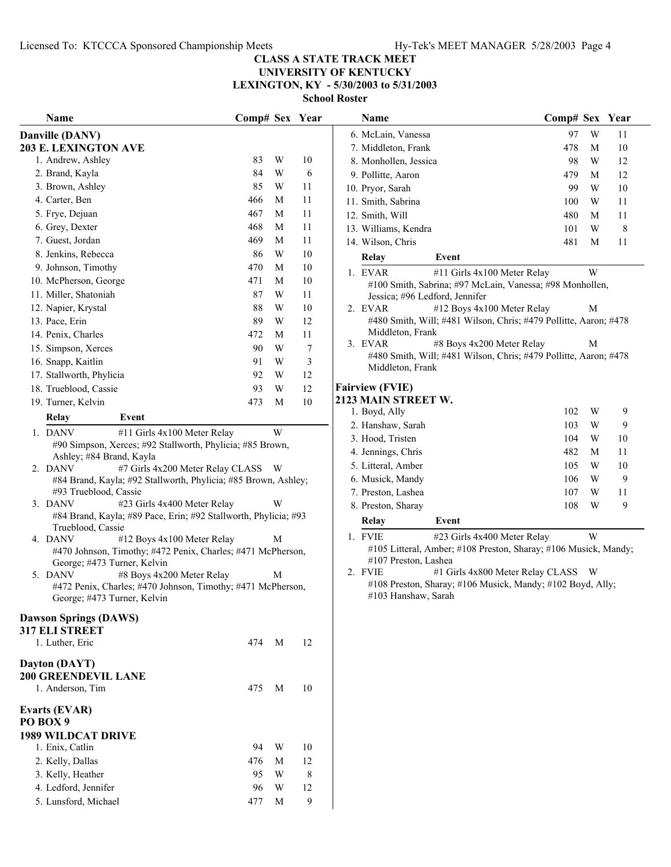$\overline{a}$ 

## **CLASS A STATE TRACK MEET UNIVERSITY OF KENTUCKY**

**LEXINGTON, KY - 5/30/2003 to 5/31/2003**

| Name                                                                                       | Comp# Sex Year |   |    |
|--------------------------------------------------------------------------------------------|----------------|---|----|
| Danville (DANV)                                                                            |                |   |    |
| <b>203 E. LEXINGTON AVE</b>                                                                |                |   |    |
| 1. Andrew, Ashley                                                                          | 83             | W | 10 |
| 2. Brand, Kayla                                                                            | 84             | W | 6  |
| 3. Brown, Ashley                                                                           | 85             | W | 11 |
| 4. Carter, Ben                                                                             | 466            | М | 11 |
| 5. Frye, Dejuan                                                                            | 467            | М | 11 |
| 6. Grey, Dexter                                                                            | 468            | М | 11 |
| 7. Guest, Jordan                                                                           | 469            | М | 11 |
| 8. Jenkins, Rebecca                                                                        | 86             | W | 10 |
| 9. Johnson, Timothy                                                                        | 470            | М | 10 |
| 10. McPherson, George                                                                      | 471            | М | 10 |
| 11. Miller, Shatoniah                                                                      | 87             | W | 11 |
| 12. Napier, Krystal                                                                        | 88             | W | 10 |
| 13. Pace, Erin                                                                             | 89             | W | 12 |
| 14. Penix, Charles                                                                         | 472            | M | 11 |
| 15. Simpson, Xerces                                                                        | 90             | W | 7  |
| 16. Snapp, Kaitlin                                                                         | 91             | W | 3  |
| 17. Stallworth, Phylicia                                                                   | 92             | W | 12 |
| 18. Trueblood, Cassie                                                                      | 93             | W | 12 |
| 19. Turner, Kelvin                                                                         | 473            | М | 10 |
| Relay<br>Event                                                                             |                |   |    |
| 1. DANV<br>#11 Girls 4x100 Meter Relay                                                     |                | W |    |
| #90 Simpson, Xerces; #92 Stallworth, Phylicia; #85 Brown,                                  |                |   |    |
| Ashley; #84 Brand, Kayla<br>2. DANV<br>#7 Girls 4x200 Meter Relay CLASS                    |                | W |    |
| #84 Brand, Kayla; #92 Stallworth, Phylicia; #85 Brown, Ashley;                             |                |   |    |
| #93 Trueblood, Cassie                                                                      |                |   |    |
| 3. DANV<br>#23 Girls 4x400 Meter Relay                                                     |                | W |    |
| #84 Brand, Kayla; #89 Pace, Erin; #92 Stallworth, Phylicia; #93                            |                |   |    |
| Trueblood, Cassie                                                                          |                |   |    |
| 4. DANV<br>#12 Boys 4x100 Meter Relay                                                      |                | М |    |
| #470 Johnson, Timothy; #472 Penix, Charles; #471 McPherson,<br>George; #473 Turner, Kelvin |                |   |    |
| 5. DANV<br>#8 Boys 4x200 Meter Relay                                                       |                | М |    |
| #472 Penix, Charles; #470 Johnson, Timothy; #471 McPherson,                                |                |   |    |
| George; #473 Turner, Kelvin                                                                |                |   |    |
| <b>Dawson Springs (DAWS)</b>                                                               |                |   |    |
| <b>317 ELI STREET</b>                                                                      |                |   |    |
| 1. Luther, Eric                                                                            | 474            | М | 12 |
|                                                                                            |                |   |    |
| Dayton (DAYT)<br>200 GREENDEVIL LANE                                                       |                |   |    |
| 1. Anderson, Tim                                                                           | 475            | М | 10 |
|                                                                                            |                |   |    |
| Evarts (EVAR)                                                                              |                |   |    |
| PO BOX 9                                                                                   |                |   |    |
| <b>1989 WILDCAT DRIVE</b>                                                                  | 94             | W | 10 |
| 1. Enix, Catlin<br>2. Kelly, Dallas                                                        | 476            | М | 12 |
| 3. Kelly, Heather                                                                          | 95             | W | 8  |
| 4. Ledford, Jennifer                                                                       | 96             | W | 12 |
| 5. Lunsford, Michael                                                                       |                |   | 9  |
|                                                                                            | 477            | M |    |

| Name                                                                                       | Comp# Sex Year |   |        | Name                            | Comp# Sex Year                                                                                   |   |             |  |
|--------------------------------------------------------------------------------------------|----------------|---|--------|---------------------------------|--------------------------------------------------------------------------------------------------|---|-------------|--|
| ille (DANV)                                                                                |                |   |        | 6. McLain, Vanessa              | 97                                                                                               | W | 11          |  |
| . LEXINGTON AVE                                                                            |                |   |        | 7. Middleton, Frank             | 478                                                                                              | M | 10          |  |
| Andrew, Ashley                                                                             | 83             | W | 10     | 8. Monhollen, Jessica           | 98                                                                                               | W | 12          |  |
| Brand, Kayla                                                                               | 84             | W | 6      | 9. Pollitte, Aaron              | 479                                                                                              | M | 12          |  |
| Brown, Ashley                                                                              | 85             | W | 11     | 10. Pryor, Sarah                | 99                                                                                               | W | 10          |  |
| Carter, Ben                                                                                | 466            | М | 11     | 11. Smith, Sabrina              | 100                                                                                              | W | 11          |  |
| Frye, Dejuan                                                                               | 467            | М | 11     | 12. Smith, Will                 | 480                                                                                              | M | 11          |  |
| Grey, Dexter                                                                               | 468            | М | 11     | 13. Williams, Kendra            | 101                                                                                              | W | $\,$ 8 $\,$ |  |
| Guest, Jordan                                                                              | 469            | M | 11     | 14. Wilson, Chris               | 481                                                                                              | M | 11          |  |
| Jenkins, Rebecca                                                                           | 86             | W | 10     | Event<br>Relay                  |                                                                                                  |   |             |  |
| Johnson, Timothy                                                                           | 470            | M | 10     | 1. EVAR                         | #11 Girls 4x100 Meter Relay                                                                      | W |             |  |
| McPherson, George                                                                          | 471            | М | 10     |                                 | #100 Smith, Sabrina; #97 McLain, Vanessa; #98 Monhollen,                                         |   |             |  |
| Miller, Shatoniah                                                                          | 87             | W | 11     | Jessica; #96 Ledford, Jennifer  |                                                                                                  |   |             |  |
| Napier, Krystal                                                                            | 88             | W | 10     | 2. EVAR                         | #12 Boys 4x100 Meter Relay                                                                       | M |             |  |
| Pace, Erin                                                                                 | 89             | W | 12     |                                 | #480 Smith, Will; #481 Wilson, Chris; #479 Pollitte, Aaron; #478                                 |   |             |  |
| Penix, Charles                                                                             | 472            | М | 11     | Middleton, Frank                |                                                                                                  |   |             |  |
| Simpson, Xerces                                                                            | 90             | W | $\tau$ | 3. EVAR                         | #8 Boys 4x200 Meter Relay                                                                        | M |             |  |
| Snapp, Kaitlin                                                                             | 91             | W | 3      | Middleton, Frank                | #480 Smith, Will; #481 Wilson, Chris; #479 Pollitte, Aaron; #478                                 |   |             |  |
| Stallworth, Phylicia                                                                       | 92             | W | 12     |                                 |                                                                                                  |   |             |  |
| Trueblood, Cassie                                                                          | 93             | W | 12     | <b>Fairview (FVIE)</b>          |                                                                                                  |   |             |  |
| Turner, Kelvin                                                                             | 473            | M | 10     | 2123 MAIN STREET W.             |                                                                                                  |   |             |  |
| <b>Relay</b><br>Event                                                                      |                |   |        | 1. Boyd, Ally                   | 102                                                                                              | W | 9           |  |
| <b>DANV</b><br>#11 Girls 4x100 Meter Relay                                                 |                | W |        | 2. Hanshaw, Sarah               | 103                                                                                              | W | 9           |  |
| #90 Simpson, Xerces; #92 Stallworth, Phylicia; #85 Brown,                                  |                |   |        | 3. Hood, Tristen                | 104                                                                                              | W | 10          |  |
| Ashley; #84 Brand, Kayla                                                                   |                |   |        | 4. Jennings, Chris              | 482                                                                                              | M | 11          |  |
| <b>DANV</b><br>#7 Girls 4x200 Meter Relay CLASS W                                          |                |   |        | 5. Litteral, Amber              | 105                                                                                              | W | 10          |  |
| #84 Brand, Kayla; #92 Stallworth, Phylicia; #85 Brown, Ashley;                             |                |   |        | 6. Musick, Mandy                | 106                                                                                              | W | 9           |  |
| #93 Trueblood, Cassie<br>DANV<br>#23 Girls 4x400 Meter Relay                               |                | W |        | 7. Preston, Lashea              | 107                                                                                              | W | 11          |  |
| #84 Brand, Kayla; #89 Pace, Erin; #92 Stallworth, Phylicia; #93                            |                |   |        | 8. Preston, Sharay              | 108                                                                                              | W | 9           |  |
| Trueblood, Cassie                                                                          |                |   |        | <b>Relay</b><br>Event           |                                                                                                  |   |             |  |
| DANV<br>#12 Boys 4x100 Meter Relay                                                         |                | M |        | 1. FVIE                         | #23 Girls 4x400 Meter Relay                                                                      | W |             |  |
| #470 Johnson, Timothy; #472 Penix, Charles; #471 McPherson,                                |                |   |        |                                 | #105 Litteral, Amber; #108 Preston, Sharay; #106 Musick, Mandy;                                  |   |             |  |
| George; #473 Turner, Kelvin                                                                |                |   |        | #107 Preston, Lashea<br>2. FVIE |                                                                                                  |   |             |  |
| DANV<br>#8 Boys 4x200 Meter Relay                                                          |                | M |        |                                 | #1 Girls 4x800 Meter Relay CLASS W<br>#108 Preston, Sharay; #106 Musick, Mandy; #102 Boyd, Ally; |   |             |  |
| #472 Penix, Charles; #470 Johnson, Timothy; #471 McPherson,<br>George; #473 Turner, Kelvin |                |   |        | #103 Hanshaw, Sarah             |                                                                                                  |   |             |  |
|                                                                                            |                |   |        |                                 |                                                                                                  |   |             |  |
| on Springs (DAWS)                                                                          |                |   |        |                                 |                                                                                                  |   |             |  |
| <b>LI STREET</b>                                                                           |                |   |        |                                 |                                                                                                  |   |             |  |
| Luther, Eric                                                                               | 474 M          |   | 12     |                                 |                                                                                                  |   |             |  |
| n (DAYT)                                                                                   |                |   |        |                                 |                                                                                                  |   |             |  |
| <b>REENDEVIL LANE</b>                                                                      |                |   |        |                                 |                                                                                                  |   |             |  |
|                                                                                            |                |   |        |                                 |                                                                                                  |   |             |  |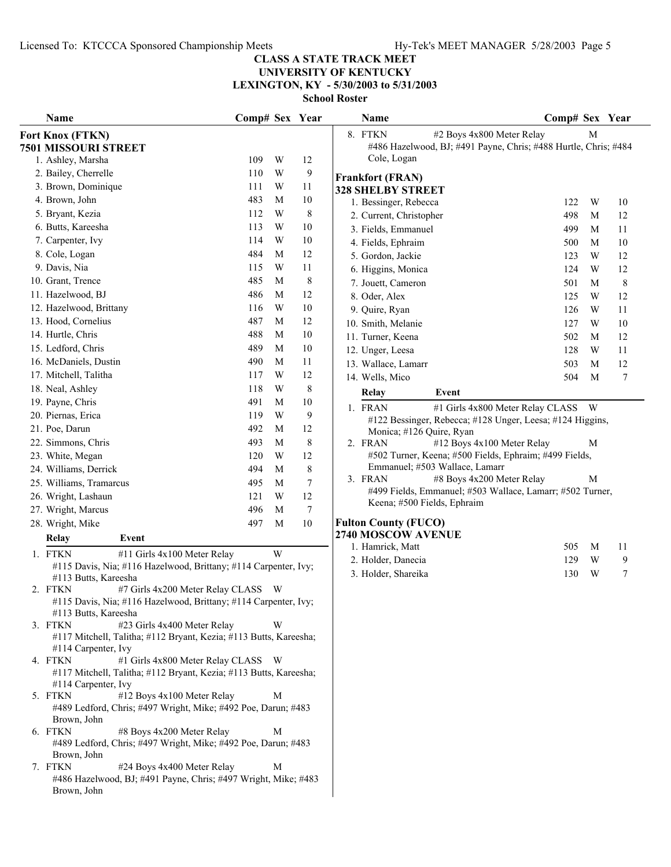## **UNIVERSITY OF KENTUCKY LEXINGTON, KY - 5/30/2003 to 5/31/2003**

| Name                                                                                                      | Comp# Sex Year |   |                  | Name                                                                                            | Comp# Sex Year |   |    |
|-----------------------------------------------------------------------------------------------------------|----------------|---|------------------|-------------------------------------------------------------------------------------------------|----------------|---|----|
| Fort Knox (FTKN)                                                                                          |                |   |                  | 8. FTKN<br>#2 Boys 4x800 Meter Relay                                                            |                | M |    |
| <b>7501 MISSOURI STREET</b>                                                                               |                |   |                  | #486 Hazelwood, BJ; #491 Payne, Chris; #488 Hurtle, Chris; #484                                 |                |   |    |
| 1. Ashley, Marsha                                                                                         | 109            | W | 12               | Cole, Logan                                                                                     |                |   |    |
| 2. Bailey, Cherrelle                                                                                      | 110            | W | 9                | <b>Frankfort (FRAN)</b>                                                                         |                |   |    |
| 3. Brown, Dominique                                                                                       | 111            | W | 11               | <b>328 SHELBY STREET</b>                                                                        |                |   |    |
| 4. Brown, John                                                                                            | 483            | M | 10               | 1. Bessinger, Rebecca                                                                           | 122            | W | 10 |
| 5. Bryant, Kezia                                                                                          | 112            | W | $\,8\,$          | 2. Current, Christopher                                                                         | 498            | M | 12 |
| 6. Butts, Kareesha                                                                                        | 113            | W | 10               | 3. Fields, Emmanuel                                                                             | 499            | M | 11 |
| 7. Carpenter, Ivy                                                                                         | 114            | W | 10               | 4. Fields, Ephraim                                                                              | 500            | M | 10 |
| 8. Cole, Logan                                                                                            | 484            | M | 12               | 5. Gordon, Jackie                                                                               | 123            | W | 12 |
| 9. Davis, Nia                                                                                             | 115            | W | 11               | 6. Higgins, Monica                                                                              | 124            | W | 12 |
| 10. Grant, Trence                                                                                         | 485            | M | $\,8\,$          | 7. Jouett, Cameron                                                                              | 501            | M | 8  |
| 11. Hazelwood, BJ                                                                                         | 486            | M | 12               | 8. Oder, Alex                                                                                   | 125            | W | 12 |
| 12. Hazelwood, Brittany                                                                                   | 116            | W | 10               | 9. Quire, Ryan                                                                                  | 126            | W | 11 |
| 13. Hood, Cornelius                                                                                       | 487            | M | 12               | 10. Smith, Melanie                                                                              | 127            | W | 10 |
| 14. Hurtle, Chris                                                                                         | 488            | M | 10               | 11. Turner, Keena                                                                               | 502            | M | 12 |
| 15. Ledford, Chris                                                                                        | 489            | M | 10               | 12. Unger, Leesa                                                                                | 128            | W | 11 |
| 16. McDaniels, Dustin                                                                                     | 490            | M | 11               | 13. Wallace, Lamarr                                                                             | 503            | M | 12 |
| 17. Mitchell, Talitha                                                                                     | 117            | W | 12               | 14. Wells, Mico                                                                                 | 504            | M | 7  |
| 18. Neal, Ashley                                                                                          | 118            | W | 8                | Relay<br>Event                                                                                  |                |   |    |
| 19. Payne, Chris                                                                                          | 491            | M | 10               | 1. FRAN                                                                                         |                |   |    |
| 20. Piernas, Erica                                                                                        | 119            | W | 9                | #1 Girls 4x800 Meter Relay CLASS W<br>#122 Bessinger, Rebecca; #128 Unger, Leesa; #124 Higgins, |                |   |    |
| 21. Poe, Darun                                                                                            | 492            | M | 12               | Monica; #126 Quire, Ryan                                                                        |                |   |    |
| 22. Simmons, Chris                                                                                        | 493            | M | 8                | 2. FRAN<br>#12 Boys 4x100 Meter Relay                                                           |                | M |    |
| 23. White, Megan                                                                                          | 120            | W | 12               | #502 Turner, Keena; #500 Fields, Ephraim; #499 Fields,                                          |                |   |    |
| 24. Williams, Derrick                                                                                     | 494            | M | 8                | Emmanuel; #503 Wallace, Lamarr                                                                  |                |   |    |
| 25. Williams, Tramarcus                                                                                   | 495            | M | 7                | #8 Boys 4x200 Meter Relay<br>3. FRAN                                                            |                | M |    |
| 26. Wright, Lashaun                                                                                       | 121            | W | 12               | #499 Fields, Emmanuel; #503 Wallace, Lamarr; #502 Turner,                                       |                |   |    |
| 27. Wright, Marcus                                                                                        | 496            | M | $\boldsymbol{7}$ | Keena; #500 Fields, Ephraim                                                                     |                |   |    |
| 28. Wright, Mike                                                                                          | 497            | M | $10\,$           | <b>Fulton County (FUCO)</b>                                                                     |                |   |    |
| <b>Relay</b><br>Event                                                                                     |                |   |                  | 2740 MOSCOW AVENUE                                                                              |                |   |    |
|                                                                                                           |                | W |                  | 1. Hamrick, Matt                                                                                | 505            | M | 11 |
| 1. FTKN<br>#11 Girls 4x100 Meter Relay<br>#115 Davis, Nia; #116 Hazelwood, Brittany; #114 Carpenter, Ivy; |                |   |                  | 2. Holder, Danecia                                                                              | 129            | W | 9  |
| #113 Butts, Kareesha                                                                                      |                |   |                  | 3. Holder, Shareika                                                                             | 130            | W | 7  |
| 2. FTKN<br>#7 Girls 4x200 Meter Relay CLASS W                                                             |                |   |                  |                                                                                                 |                |   |    |
| #115 Davis, Nia; #116 Hazelwood, Brittany; #114 Carpenter, Ivy;                                           |                |   |                  |                                                                                                 |                |   |    |
| #113 Butts, Kareesha                                                                                      |                |   |                  |                                                                                                 |                |   |    |
| 3. FTKN<br>#23 Girls 4x400 Meter Relay                                                                    |                | W |                  |                                                                                                 |                |   |    |
| #117 Mitchell, Talitha; #112 Bryant, Kezia; #113 Butts, Kareesha;                                         |                |   |                  |                                                                                                 |                |   |    |
| #114 Carpenter, Ivy<br>#1 Girls 4x800 Meter Relay CLASS W<br>4. FTKN                                      |                |   |                  |                                                                                                 |                |   |    |
| #117 Mitchell, Talitha; #112 Bryant, Kezia; #113 Butts, Kareesha;                                         |                |   |                  |                                                                                                 |                |   |    |
| #114 Carpenter, Ivy                                                                                       |                |   |                  |                                                                                                 |                |   |    |
| #12 Boys 4x100 Meter Relay<br>5. FTKN                                                                     |                | М |                  |                                                                                                 |                |   |    |
| #489 Ledford, Chris; #497 Wright, Mike; #492 Poe, Darun; #483<br>Brown, John                              |                |   |                  |                                                                                                 |                |   |    |
| 6. FTKN<br>#8 Boys 4x200 Meter Relay<br>#489 Ledford, Chris; #497 Wright, Mike; #492 Poe, Darun; #483     |                | M |                  |                                                                                                 |                |   |    |
| Brown, John                                                                                               |                |   |                  |                                                                                                 |                |   |    |
| 7. FTKN<br>#24 Boys 4x400 Meter Relay                                                                     |                | M |                  |                                                                                                 |                |   |    |
| #486 Hazelwood, BJ; #491 Payne, Chris; #497 Wright, Mike; #483<br>Brown, John                             |                |   |                  |                                                                                                 |                |   |    |
|                                                                                                           |                |   |                  |                                                                                                 |                |   |    |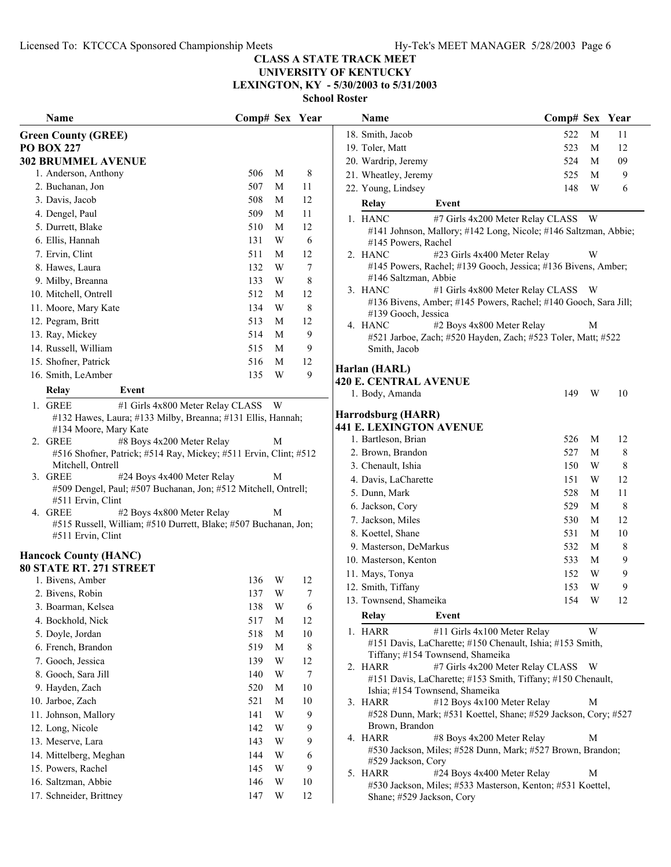## **UNIVERSITY OF KENTUCKY LEXINGTON, KY - 5/30/2003 to 5/31/2003**

| Name                                                                                | Comp# Sex Year |   |                  | Name                                                                                    | Comp# Sex Year |                         |         |
|-------------------------------------------------------------------------------------|----------------|---|------------------|-----------------------------------------------------------------------------------------|----------------|-------------------------|---------|
| <b>Green County (GREE)</b>                                                          |                |   |                  | 18. Smith, Jacob                                                                        | 522            | M                       | 11      |
| <b>PO BOX 227</b>                                                                   |                |   |                  | 19. Toler, Matt                                                                         | 523            | M                       | 12      |
| <b>302 BRUMMEL AVENUE</b>                                                           |                |   |                  | 20. Wardrip, Jeremy                                                                     | 524            | M                       | 09      |
| 1. Anderson, Anthony                                                                | 506            | M | 8                | 21. Wheatley, Jeremy                                                                    | 525            | M                       | 9       |
| 2. Buchanan, Jon                                                                    | 507            | M | 11               | 22. Young, Lindsey                                                                      | 148            | W                       | 6       |
| 3. Davis, Jacob                                                                     | 508            | M | 12               | Event<br>Relay                                                                          |                |                         |         |
| 4. Dengel, Paul                                                                     | 509            | M | 11               | 1. HANC<br>#7 Girls 4x200 Meter Relay CLASS                                             |                | W <sub>1</sub>          |         |
| 5. Durrett, Blake                                                                   | 510            | M | 12               | #141 Johnson, Mallory; #142 Long, Nicole; #146 Saltzman, Abbie;                         |                |                         |         |
| 6. Ellis, Hannah                                                                    | 131            | W | 6                | #145 Powers, Rachel                                                                     |                |                         |         |
| 7. Ervin, Clint                                                                     | 511            | M | 12               | 2. HANC<br>#23 Girls 4x400 Meter Relay                                                  |                | W                       |         |
| 8. Hawes, Laura                                                                     | 132            | W | 7                | #145 Powers, Rachel; #139 Gooch, Jessica; #136 Bivens, Amber;                           |                |                         |         |
| 9. Milby, Breanna                                                                   | 133            | W | 8                | #146 Saltzman, Abbie                                                                    |                |                         |         |
| 10. Mitchell, Ontrell                                                               | 512            | M | 12               | 3. HANC<br>#1 Girls 4x800 Meter Relay CLASS W                                           |                |                         |         |
| 11. Moore, Mary Kate                                                                | 134            | W | 8                | #136 Bivens, Amber; #145 Powers, Rachel; #140 Gooch, Sara Jill;<br>#139 Gooch, Jessica  |                |                         |         |
| 12. Pegram, Britt                                                                   | 513            | M | 12               | #2 Boys 4x800 Meter Relay<br>4. HANC                                                    |                | M                       |         |
| 13. Ray, Mickey                                                                     | 514            | M | 9                | #521 Jarboe, Zach; #520 Hayden, Zach; #523 Toler, Matt; #522                            |                |                         |         |
| 14. Russell, William                                                                | 515            | M | 9                | Smith, Jacob                                                                            |                |                         |         |
| 15. Shofner, Patrick                                                                | 516            | M | 12               |                                                                                         |                |                         |         |
| 16. Smith, LeAmber                                                                  | 135            | W | 9                | Harlan (HARL)<br><b>420 E. CENTRAL AVENUE</b>                                           |                |                         |         |
| Relay<br>Event                                                                      |                |   |                  | 1. Body, Amanda                                                                         | 149            | W                       | 10      |
| 1. GREE<br>#1 Girls 4x800 Meter Relay CLASS W                                       |                |   |                  |                                                                                         |                |                         |         |
| #132 Hawes, Laura; #133 Milby, Breanna; #131 Ellis, Hannah;                         |                |   |                  | Harrodsburg (HARR)                                                                      |                |                         |         |
| #134 Moore, Mary Kate                                                               |                |   |                  | <b>441 E. LEXINGTON AVENUE</b>                                                          |                |                         |         |
| #8 Boys 4x200 Meter Relay<br>2. GREE                                                |                | M |                  | 1. Bartleson, Brian                                                                     | 526            | M                       | 12      |
| #516 Shofner, Patrick; #514 Ray, Mickey; #511 Ervin, Clint; #512                    |                |   |                  | 2. Brown, Brandon                                                                       | 527            | M                       | $\,8\,$ |
| Mitchell, Ontrell                                                                   |                |   |                  | 3. Chenault, Ishia                                                                      | 150            | W                       | $\,8\,$ |
| #24 Boys 4x400 Meter Relay<br>3. GREE                                               |                | M |                  | 4. Davis, LaCharette                                                                    | 151            | W                       | 12      |
| #509 Dengel, Paul; #507 Buchanan, Jon; #512 Mitchell, Ontrell;<br>#511 Ervin, Clint |                |   |                  | 5. Dunn, Mark                                                                           | 528            | M                       | 11      |
| 4. GREE<br>#2 Boys 4x800 Meter Relay                                                |                | M |                  | 6. Jackson, Cory                                                                        | 529            | M                       | 8       |
| #515 Russell, William; #510 Durrett, Blake; #507 Buchanan, Jon;                     |                |   |                  | 7. Jackson, Miles                                                                       | 530            | M                       | 12      |
| #511 Ervin, Clint                                                                   |                |   |                  | 8. Koettel, Shane                                                                       | 531            | M                       | 10      |
| <b>Hancock County (HANC)</b>                                                        |                |   |                  | 9. Masterson, DeMarkus                                                                  | 532            | M                       | $\,8\,$ |
| 80 STATE RT. 271 STREET                                                             |                |   |                  | 10. Masterson, Kenton                                                                   | 533            | M                       | 9       |
| 1. Bivens, Amber                                                                    | 136            | W | 12               | 11. Mays, Tonya                                                                         | 152            | W                       | 9       |
| 2. Bivens, Robin                                                                    | 137            | W | $\boldsymbol{7}$ | 12. Smith, Tiffany                                                                      | 153            | W                       | 9       |
| 3. Boarman, Kelsea                                                                  | 138            | W | 6                | 13. Townsend, Shameika                                                                  | 154            | $\ensuremath{\text{W}}$ | 12      |
| 4. Bockhold, Nick                                                                   | 517            | M | 12               | Relay<br>Event                                                                          |                |                         |         |
| 5. Doyle, Jordan                                                                    | 518            | M | 10               | 1. HARR<br>#11 Girls 4x100 Meter Relay                                                  |                | W                       |         |
| 6. French, Brandon                                                                  | 519            | M | 8                | #151 Davis, LaCharette; #150 Chenault, Ishia; #153 Smith,                               |                |                         |         |
| 7. Gooch, Jessica                                                                   | 139            | W | 12               | Tiffany; #154 Townsend, Shameika                                                        |                |                         |         |
| 8. Gooch, Sara Jill                                                                 | 140            | W | $\tau$           | #7 Girls 4x200 Meter Relay CLASS W<br>2. HARR                                           |                |                         |         |
| 9. Hayden, Zach                                                                     | 520            | M | 10               | #151 Davis, LaCharette; #153 Smith, Tiffany; #150 Chenault,                             |                |                         |         |
| 10. Jarboe, Zach                                                                    | 521            | M | 10               | Ishia; #154 Townsend, Shameika<br>3. HARR<br>#12 Boys 4x100 Meter Relay                 |                | М                       |         |
| 11. Johnson, Mallory                                                                | 141            | W | 9                | #528 Dunn, Mark; #531 Koettel, Shane; #529 Jackson, Cory; #527                          |                |                         |         |
| 12. Long, Nicole                                                                    | 142            | W | 9                | Brown, Brandon                                                                          |                |                         |         |
| 13. Meserve, Lara                                                                   | 143            | W | 9                | 4. HARR<br>#8 Boys 4x200 Meter Relay                                                    |                | M                       |         |
| 14. Mittelberg, Meghan                                                              | 144            | W | 6                | #530 Jackson, Miles; #528 Dunn, Mark; #527 Brown, Brandon;                              |                |                         |         |
| 15. Powers, Rachel                                                                  | 145            | W | 9                | #529 Jackson, Cory                                                                      |                |                         |         |
| 16. Saltzman, Abbie                                                                 | 146            | W | 10               | #24 Boys 4x400 Meter Relay<br>5. HARR                                                   |                | M                       |         |
| 17. Schneider, Brittney                                                             | 147            | W | 12               | #530 Jackson, Miles; #533 Masterson, Kenton; #531 Koettel,<br>Shane; #529 Jackson, Cory |                |                         |         |
|                                                                                     |                |   |                  |                                                                                         |                |                         |         |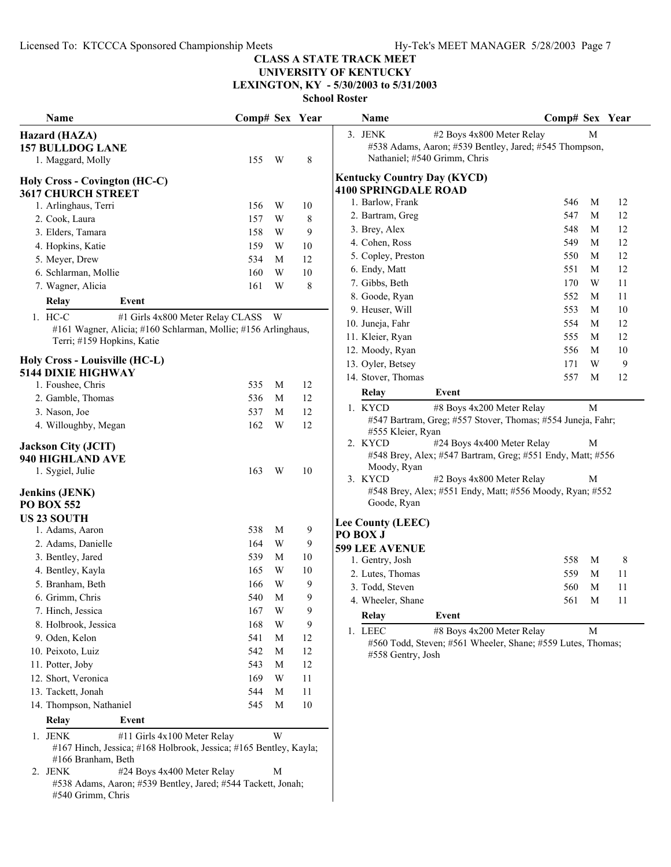## **UNIVERSITY OF KENTUCKY LEXINGTON, KY - 5/30/2003 to 5/31/2003**

**School Roster**

| Name                                                                                                        | Comp# Sex Year |             |    | Name                                                                                             | Comp# Sex Year |              |    |
|-------------------------------------------------------------------------------------------------------------|----------------|-------------|----|--------------------------------------------------------------------------------------------------|----------------|--------------|----|
| Hazard (HAZA)                                                                                               |                |             |    | 3. JENK<br>#2 Boys 4x800 Meter Relay                                                             |                | M            |    |
| <b>157 BULLDOG LANE</b>                                                                                     |                |             |    | #538 Adams, Aaron; #539 Bentley, Jared; #545 Thompson,                                           |                |              |    |
| 1. Maggard, Molly                                                                                           | 155            | W           | 8  | Nathaniel; #540 Grimm, Chris                                                                     |                |              |    |
| <b>Holy Cross - Covington (HC-C)</b>                                                                        |                |             |    | <b>Kentucky Country Day (KYCD)</b>                                                               |                |              |    |
| <b>3617 CHURCH STREET</b>                                                                                   |                |             |    | <b>4100 SPRINGDALE ROAD</b>                                                                      |                |              |    |
| 1. Arlinghaus, Terri                                                                                        | 156            | W           | 10 | 1. Barlow, Frank                                                                                 | 546            | M            | 12 |
| 2. Cook, Laura                                                                                              | 157            | W           | 8  | 2. Bartram, Greg                                                                                 | 547            | M            | 12 |
| 3. Elders, Tamara                                                                                           | 158            | W           | 9  | 3. Brey, Alex                                                                                    | 548            | M            | 12 |
| 4. Hopkins, Katie                                                                                           | 159            | W           | 10 | 4. Cohen, Ross                                                                                   | 549            | M            | 12 |
| 5. Meyer, Drew                                                                                              | 534            | M           | 12 | 5. Copley, Preston                                                                               | 550            | M            | 12 |
| 6. Schlarman, Mollie                                                                                        | 160            | W           | 10 | 6. Endy, Matt                                                                                    | 551            | M            | 12 |
| 7. Wagner, Alicia                                                                                           | 161            | W           | 8  | 7. Gibbs, Beth                                                                                   | 170            | W            | 11 |
|                                                                                                             |                |             |    | 8. Goode, Ryan                                                                                   | 552            | M            | 11 |
| Relay<br>Event                                                                                              |                |             |    | 9. Heuser, Will                                                                                  | 553            | M            | 10 |
| 1. HC-C<br>#1 Girls 4x800 Meter Relay CLASS W                                                               |                |             |    | 10. Juneja, Fahr                                                                                 | 554            | M            | 12 |
| #161 Wagner, Alicia; #160 Schlarman, Mollie; #156 Arlinghaus,                                               |                |             |    | 11. Kleier, Ryan                                                                                 | 555            | M            | 12 |
| Terri; #159 Hopkins, Katie                                                                                  |                |             |    | 12. Moody, Ryan                                                                                  | 556            | M            | 10 |
| <b>Holy Cross - Louisville (HC-L)</b>                                                                       |                |             |    | 13. Oyler, Betsey                                                                                | 171            | W            | 9  |
| <b>5144 DIXIE HIGHWAY</b>                                                                                   |                |             |    | 14. Stover, Thomas                                                                               | 557            | M            | 12 |
| 1. Foushee, Chris                                                                                           | 535            | M           | 12 |                                                                                                  |                |              |    |
| 2. Gamble, Thomas                                                                                           | 536            | M           | 12 | <b>Relay</b><br>Event                                                                            |                |              |    |
| 3. Nason, Joe                                                                                               | 537            | M           | 12 | 1. KYCD<br>#8 Boys 4x200 Meter Relay                                                             |                | M            |    |
| 4. Willoughby, Megan                                                                                        | 162            | W           | 12 | #547 Bartram, Greg; #557 Stover, Thomas; #554 Juneja, Fahr;<br>#555 Kleier, Ryan                 |                |              |    |
| <b>Jackson City (JCIT)</b>                                                                                  |                |             |    | #24 Boys 4x400 Meter Relay<br>2. KYCD                                                            |                | M            |    |
| 940 HIGHLAND AVE                                                                                            |                |             |    | #548 Brey, Alex; #547 Bartram, Greg; #551 Endy, Matt; #556                                       |                |              |    |
| 1. Sygiel, Julie                                                                                            | 163            | W           | 10 | Moody, Ryan                                                                                      |                |              |    |
|                                                                                                             |                |             |    | 3. KYCD<br>#2 Boys 4x800 Meter Relay<br>#548 Brey, Alex; #551 Endy, Matt; #556 Moody, Ryan; #552 |                | M            |    |
| <b>Jenkins (JENK)</b>                                                                                       |                |             |    | Goode, Ryan                                                                                      |                |              |    |
| <b>PO BOX 552</b>                                                                                           |                |             |    |                                                                                                  |                |              |    |
| <b>US 23 SOUTH</b>                                                                                          |                |             |    | <b>Lee County (LEEC)</b>                                                                         |                |              |    |
| 1. Adams, Aaron                                                                                             | 538            | M           | 9  | PO BOX J                                                                                         |                |              |    |
| 2. Adams, Danielle                                                                                          | 164            | W           | 9  | <b>599 LEE AVENUE</b>                                                                            |                |              |    |
| 3. Bentley, Jared                                                                                           | 539            | M           | 10 | 1. Gentry, Josh                                                                                  | 558            | M            | 8  |
| 4. Bentley, Kayla                                                                                           | 165            | W           | 10 | 2. Lutes, Thomas                                                                                 | 559            | M            | 11 |
| 5. Branham, Beth                                                                                            | 166            | W           | 9  | 3. Todd, Steven                                                                                  | 560            | M            | 11 |
| 6. Grimm, Chris                                                                                             | 540            | M           | 9  | 4. Wheeler, Shane                                                                                | 561            | $\mathbf{M}$ | 11 |
| 7. Hinch, Jessica                                                                                           | 167            | W           | 9  | <b>Relay</b><br>Event                                                                            |                |              |    |
| 8. Holbrook, Jessica                                                                                        | 168            | W           | 9  | 1. LEEC<br>#8 Boys 4x200 Meter Relay                                                             |                | M            |    |
| 9. Oden, Kelon                                                                                              | 541            | M           | 12 | #560 Todd, Steven; #561 Wheeler, Shane; #559 Lutes, Thomas;                                      |                |              |    |
| 10. Peixoto, Luiz                                                                                           | 542            | M           | 12 | #558 Gentry, Josh                                                                                |                |              |    |
| 11. Potter, Joby                                                                                            | 543            | M           | 12 |                                                                                                  |                |              |    |
| 12. Short, Veronica                                                                                         | 169            | W           | 11 |                                                                                                  |                |              |    |
| 13. Tackett, Jonah                                                                                          | 544            | M           | 11 |                                                                                                  |                |              |    |
| 14. Thompson, Nathaniel                                                                                     | 545            | M           | 10 |                                                                                                  |                |              |    |
| <b>Relay</b><br>Event                                                                                       |                |             |    |                                                                                                  |                |              |    |
|                                                                                                             |                |             |    |                                                                                                  |                |              |    |
| #11 Girls 4x100 Meter Relay<br>1. JENK<br>#167 Hinch, Jessica; #168 Holbrook, Jessica; #165 Bentley, Kayla; |                | W           |    |                                                                                                  |                |              |    |
| #166 Branham, Beth<br>#24 Boys 4x400 Meter Relay<br>2. JENK                                                 |                | $\mathbf M$ |    |                                                                                                  |                |              |    |
|                                                                                                             |                |             |    |                                                                                                  |                |              |    |

#538 Adams, Aaron; #539 Bentley, Jared; #544 Tackett, Jonah; #540 Grimm, Chris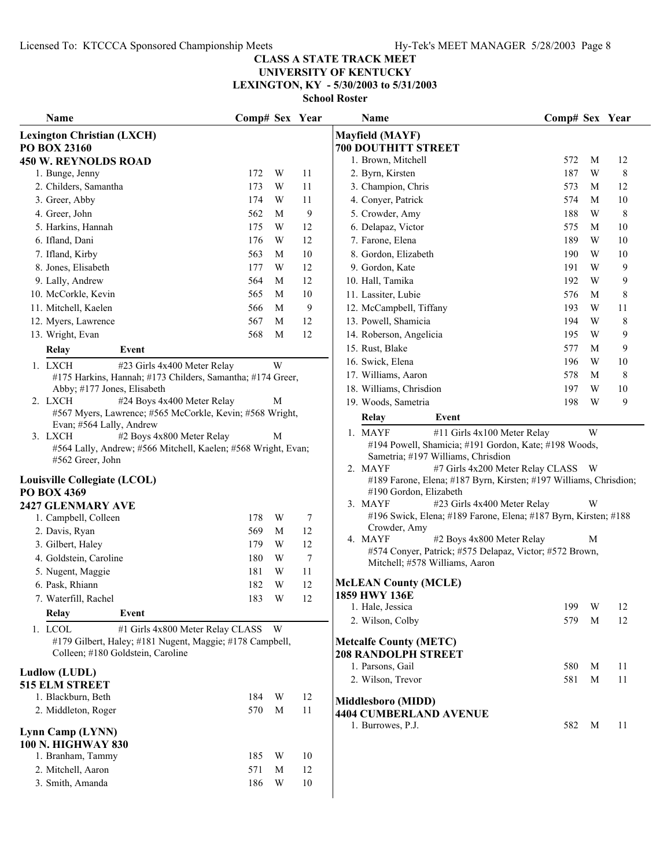**UNIVERSITY OF KENTUCKY LEXINGTON, KY - 5/30/2003 to 5/31/2003**

| Name                                                                                              | Comp# Sex Year |   |        | <b>Name</b>                                                                                                      | Comp# Sex Year |              |    |
|---------------------------------------------------------------------------------------------------|----------------|---|--------|------------------------------------------------------------------------------------------------------------------|----------------|--------------|----|
| <b>Lexington Christian (LXCH)</b>                                                                 |                |   |        | <b>Mayfield (MAYF)</b>                                                                                           |                |              |    |
| PO BOX 23160                                                                                      |                |   |        | <b>700 DOUTHITT STREET</b>                                                                                       |                |              |    |
| <b>450 W. REYNOLDS ROAD</b>                                                                       |                |   |        | 1. Brown, Mitchell                                                                                               | 572            | M            | 12 |
| 1. Bunge, Jenny                                                                                   | 172            | W | 11     | 2. Byrn, Kirsten                                                                                                 | 187            | W            | 8  |
| 2. Childers, Samantha                                                                             | 173            | W | 11     | 3. Champion, Chris                                                                                               | 573            | M            | 12 |
| 3. Greer, Abby                                                                                    | 174            | W | 11     | 4. Conyer, Patrick                                                                                               | 574            | M            | 10 |
| 4. Greer, John                                                                                    | 562            | M | 9      | 5. Crowder, Amy                                                                                                  | 188            | W            | 8  |
| 5. Harkins, Hannah                                                                                | 175            | W | 12     | 6. Delapaz, Victor                                                                                               | 575            | M            | 10 |
| 6. Ifland, Dani                                                                                   | 176            | W | 12     | 7. Farone, Elena                                                                                                 | 189            | W            | 10 |
| 7. Ifland, Kirby                                                                                  | 563            | M | $10\,$ | 8. Gordon, Elizabeth                                                                                             | 190            | W            | 10 |
| 8. Jones, Elisabeth                                                                               | 177            | W | 12     | 9. Gordon, Kate                                                                                                  | 191            | W            | 9  |
| 9. Lally, Andrew                                                                                  | 564            | M | 12     | 10. Hall, Tamika                                                                                                 | 192            | W            | 9  |
| 10. McCorkle, Kevin                                                                               | 565            | M | 10     | 11. Lassiter, Lubie                                                                                              | 576            | M            | 8  |
| 11. Mitchell, Kaelen                                                                              | 566            | M | 9      | 12. McCampbell, Tiffany                                                                                          | 193            | W            | 11 |
| 12. Myers, Lawrence                                                                               | 567            | M | 12     | 13. Powell, Shamicia                                                                                             | 194            | W            | 8  |
| 13. Wright, Evan                                                                                  | 568            | M | 12     | 14. Roberson, Angelicia                                                                                          | 195            | W            | 9  |
| Relay<br>Event                                                                                    |                |   |        | 15. Rust, Blake                                                                                                  | 577            | M            | 9  |
| #23 Girls 4x400 Meter Relay<br>1. LXCH                                                            |                | W |        | 16. Swick, Elena                                                                                                 | 196            | W            | 10 |
| #175 Harkins, Hannah; #173 Childers, Samantha; #174 Greer,                                        |                |   |        | 17. Williams, Aaron                                                                                              | 578            | M            | 8  |
| Abby; #177 Jones, Elisabeth                                                                       |                |   |        | 18. Williams, Chrisdion                                                                                          | 197            | W            | 10 |
| 2. LXCH<br>#24 Boys 4x400 Meter Relay<br>#567 Myers, Lawrence; #565 McCorkle, Kevin; #568 Wright, |                | M |        | 19. Woods, Sametria                                                                                              | 198            | W            | 9  |
| Evan; #564 Lally, Andrew                                                                          |                |   |        | Relay<br>Event                                                                                                   |                |              |    |
| 3. LXCH<br>#2 Boys 4x800 Meter Relay                                                              |                | M |        | 1. MAYF<br>#11 Girls 4x100 Meter Relay                                                                           |                | W            |    |
| #564 Lally, Andrew; #566 Mitchell, Kaelen; #568 Wright, Evan;                                     |                |   |        | #194 Powell, Shamicia; #191 Gordon, Kate; #198 Woods,                                                            |                |              |    |
| #562 Greer, John                                                                                  |                |   |        | Sametria; #197 Williams, Chrisdion                                                                               |                |              |    |
| Louisville Collegiate (LCOL)                                                                      |                |   |        | #7 Girls 4x200 Meter Relay CLASS<br>2. MAYF<br>#189 Farone, Elena; #187 Byrn, Kirsten; #197 Williams, Chrisdion; |                | W            |    |
| PO BOX 4369                                                                                       |                |   |        | #190 Gordon, Elizabeth                                                                                           |                |              |    |
| 2427 GLENMARY AVE                                                                                 |                |   |        | #23 Girls 4x400 Meter Relay<br>3. MAYF                                                                           |                | W            |    |
| 1. Campbell, Colleen                                                                              | 178            | W | 7      | #196 Swick, Elena; #189 Farone, Elena; #187 Byrn, Kirsten; #188                                                  |                |              |    |
| 2. Davis, Ryan                                                                                    | 569            | M | 12     | Crowder, Amy                                                                                                     |                |              |    |
| 3. Gilbert, Haley                                                                                 | 179            | W | 12     | 4. MAYF<br>#2 Boys 4x800 Meter Relay                                                                             |                | М            |    |
| 4. Goldstein, Caroline                                                                            | 180            | W | $\tau$ | #574 Conyer, Patrick; #575 Delapaz, Victor; #572 Brown,                                                          |                |              |    |
| 5. Nugent, Maggie                                                                                 | 181            | W | 11     | Mitchell; #578 Williams, Aaron                                                                                   |                |              |    |
| 6. Pask, Rhiann                                                                                   | 182            | W | $12\,$ | <b>McLEAN County (MCLE)</b>                                                                                      |                |              |    |
| 7. Waterfill, Rachel                                                                              | 183            | W | 12     | 1859 HWY 136E                                                                                                    |                |              |    |
| Event<br>Relay                                                                                    |                |   |        | 1. Hale, Jessica                                                                                                 | 199            | W            | 12 |
| 1. LCOL<br>#1 Girls 4x800 Meter Relay CLASS W                                                     |                |   |        | 2. Wilson, Colby                                                                                                 | 579            | M            | 12 |
| #179 Gilbert, Haley; #181 Nugent, Maggie; #178 Campbell,                                          |                |   |        | <b>Metcalfe County (METC)</b>                                                                                    |                |              |    |
| Colleen; #180 Goldstein, Caroline                                                                 |                |   |        | <b>208 RANDOLPH STREET</b>                                                                                       |                |              |    |
|                                                                                                   |                |   |        | 1. Parsons, Gail                                                                                                 | 580            | M            | 11 |
| Ludlow (LUDL)                                                                                     |                |   |        | 2. Wilson, Trevor                                                                                                | 581            | M            | 11 |
| <b>515 ELM STREET</b>                                                                             |                |   |        |                                                                                                                  |                |              |    |
| 1. Blackburn, Beth                                                                                | 184            | W | 12     | <b>Middlesboro (MIDD)</b>                                                                                        |                |              |    |
| 2. Middleton, Roger                                                                               | 570            | M | 11     | <b>4404 CUMBERLAND AVENUE</b>                                                                                    |                |              |    |
| Lynn Camp (LYNN)                                                                                  |                |   |        | 1. Burrowes, P.J.                                                                                                | 582            | $\mathbf{M}$ | 11 |
| <b>100 N. HIGHWAY 830</b>                                                                         |                |   |        |                                                                                                                  |                |              |    |
| 1. Branham, Tammy                                                                                 | 185            | W | 10     |                                                                                                                  |                |              |    |
| 2. Mitchell, Aaron                                                                                | 571            | M | 12     |                                                                                                                  |                |              |    |
| 3. Smith, Amanda                                                                                  | 186            | W | 10     |                                                                                                                  |                |              |    |
|                                                                                                   |                |   |        |                                                                                                                  |                |              |    |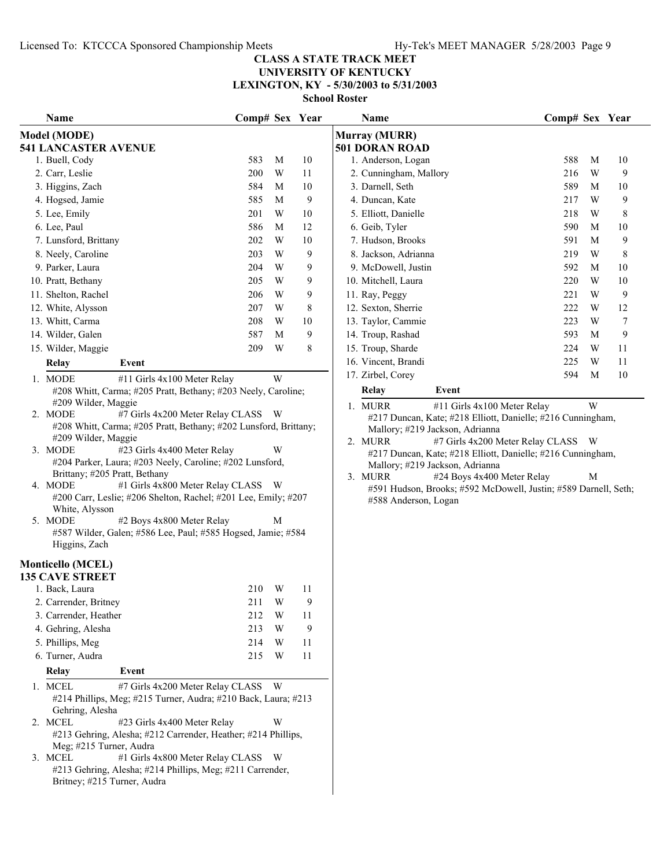## **UNIVERSITY OF KENTUCKY**

**LEXINGTON, KY - 5/30/2003 to 5/31/2003**

| Name                                                                                                              | Comp# Sex Year |   |    | Name                                                                                              | Comp# Sex Year |   |    |
|-------------------------------------------------------------------------------------------------------------------|----------------|---|----|---------------------------------------------------------------------------------------------------|----------------|---|----|
| Model (MODE)                                                                                                      |                |   |    | <b>Murray (MURR)</b>                                                                              |                |   |    |
| <b>541 LANCASTER AVENUE</b>                                                                                       |                |   |    | <b>501 DORAN ROAD</b>                                                                             |                |   |    |
| 1. Buell, Cody                                                                                                    | 583            | M | 10 | 1. Anderson, Logan                                                                                | 588            | M | 10 |
| 2. Carr, Leslie                                                                                                   | 200            | W | 11 | 2. Cunningham, Mallory                                                                            | 216            | W | 9  |
| 3. Higgins, Zach                                                                                                  | 584            | M | 10 | 3. Darnell, Seth                                                                                  | 589            | M | 10 |
| 4. Hogsed, Jamie                                                                                                  | 585            | M | 9  | 4. Duncan, Kate                                                                                   | 217            | W | 9  |
| 5. Lee, Emily                                                                                                     | 201            | W | 10 | 5. Elliott, Danielle                                                                              | 218            | W | 8  |
| 6. Lee, Paul                                                                                                      | 586            | M | 12 | 6. Geib, Tyler                                                                                    | 590            | M | 10 |
| 7. Lunsford, Brittany                                                                                             | 202            | W | 10 | 7. Hudson, Brooks                                                                                 | 591            | М | 9  |
| 8. Neely, Caroline                                                                                                | 203            | W | 9  | 8. Jackson, Adrianna                                                                              | 219            | W | 8  |
| 9. Parker, Laura                                                                                                  | 204            | W | 9  | 9. McDowell, Justin                                                                               | 592            | M | 10 |
| 10. Pratt, Bethany                                                                                                | 205            | W | 9  | 10. Mitchell, Laura                                                                               | 220            | W | 10 |
| 11. Shelton, Rachel                                                                                               | 206            | W | 9  | 11. Ray, Peggy                                                                                    | 221            | W | 9  |
| 12. White, Alysson                                                                                                | 207            | W | 8  | 12. Sexton, Sherrie                                                                               | 222            | W | 12 |
| 13. Whitt, Carma                                                                                                  | 208            | W | 10 | 13. Taylor, Cammie                                                                                | 223            | W | 7  |
| 14. Wilder, Galen                                                                                                 | 587            | M | 9  | 14. Troup, Rashad                                                                                 | 593            | M | 9  |
| 15. Wilder, Maggie                                                                                                | 209            | W | 8  | 15. Troup, Sharde                                                                                 | 224            | W | 11 |
| <b>Relay</b><br>Event                                                                                             |                |   |    | 16. Vincent, Brandi                                                                               | 225            | W | 11 |
| 1. MODE<br>#11 Girls 4x100 Meter Relay                                                                            |                | W |    | 17. Zirbel, Corey                                                                                 | 594            | M | 10 |
| #208 Whitt, Carma; #205 Pratt, Bethany; #203 Neely, Caroline;                                                     |                |   |    | <b>Relay</b><br>Event                                                                             |                |   |    |
| #209 Wilder, Maggie                                                                                               |                |   |    | #11 Girls 4x100 Meter Relay<br>1. MURR                                                            |                | W |    |
| 2. MODE<br>#7 Girls 4x200 Meter Relay CLASS W<br>#208 Whitt, Carma; #205 Pratt, Bethany; #202 Lunsford, Brittany; |                |   |    | #217 Duncan, Kate; #218 Elliott, Danielle; #216 Cunningham,                                       |                |   |    |
| #209 Wilder, Maggie                                                                                               |                |   |    | Mallory; #219 Jackson, Adrianna<br>2. MURR                                                        |                |   |    |
| 3. MODE<br>#23 Girls 4x400 Meter Relay                                                                            |                | W |    | #7 Girls 4x200 Meter Relay CLASS W<br>#217 Duncan, Kate; #218 Elliott, Danielle; #216 Cunningham, |                |   |    |
| #204 Parker, Laura; #203 Neely, Caroline; #202 Lunsford,                                                          |                |   |    | Mallory; #219 Jackson, Adrianna                                                                   |                |   |    |
| Brittany; #205 Pratt, Bethany                                                                                     |                |   |    | 3. MURR<br>#24 Boys 4x400 Meter Relay                                                             |                | М |    |
| #1 Girls 4x800 Meter Relay CLASS W<br>4. MODE                                                                     |                |   |    | #591 Hudson, Brooks; #592 McDowell, Justin; #589 Darnell, Seth;                                   |                |   |    |
| #200 Carr, Leslie; #206 Shelton, Rachel; #201 Lee, Emily; #207<br>White, Alysson                                  |                |   |    | #588 Anderson, Logan                                                                              |                |   |    |
| 5. MODE<br>#2 Boys 4x800 Meter Relay                                                                              |                | M |    |                                                                                                   |                |   |    |
| #587 Wilder, Galen; #586 Lee, Paul; #585 Hogsed, Jamie; #584                                                      |                |   |    |                                                                                                   |                |   |    |
| Higgins, Zach                                                                                                     |                |   |    |                                                                                                   |                |   |    |
| <b>Monticello (MCEL)</b>                                                                                          |                |   |    |                                                                                                   |                |   |    |
| <b>135 CAVE STREET</b>                                                                                            |                |   |    |                                                                                                   |                |   |    |
| 1. Back, Laura                                                                                                    | 210            | W | 11 |                                                                                                   |                |   |    |
| 2. Carrender, Britney                                                                                             | 211 W          |   | 9  |                                                                                                   |                |   |    |
| 3. Carrender, Heather                                                                                             | 212            | W | 11 |                                                                                                   |                |   |    |
| 4. Gehring, Alesha                                                                                                | 213            | W | 9  |                                                                                                   |                |   |    |
| 5. Phillips, Meg                                                                                                  | 214            | W | 11 |                                                                                                   |                |   |    |
| 6. Turner, Audra                                                                                                  | 215            | W | 11 |                                                                                                   |                |   |    |
| Relay<br>Event                                                                                                    |                |   |    |                                                                                                   |                |   |    |
| 1. MCEL<br>#7 Girls 4x200 Meter Relay CLASS W                                                                     |                |   |    |                                                                                                   |                |   |    |
| #214 Phillips, Meg; #215 Turner, Audra; #210 Back, Laura; #213                                                    |                |   |    |                                                                                                   |                |   |    |
| Gehring, Alesha                                                                                                   |                |   |    |                                                                                                   |                |   |    |
| 2. MCEL<br>#23 Girls 4x400 Meter Relay                                                                            |                | W |    |                                                                                                   |                |   |    |
| #213 Gehring, Alesha; #212 Carrender, Heather; #214 Phillips,                                                     |                |   |    |                                                                                                   |                |   |    |
| Meg; #215 Turner, Audra                                                                                           |                |   |    |                                                                                                   |                |   |    |
| 3. MCEL<br>#1 Girls 4x800 Meter Relay CLASS W<br>#213 Gehring, Alesha; #214 Phillips, Meg; #211 Carrender,        |                |   |    |                                                                                                   |                |   |    |
| Britney; #215 Turner, Audra                                                                                       |                |   |    |                                                                                                   |                |   |    |
|                                                                                                                   |                |   |    |                                                                                                   |                |   |    |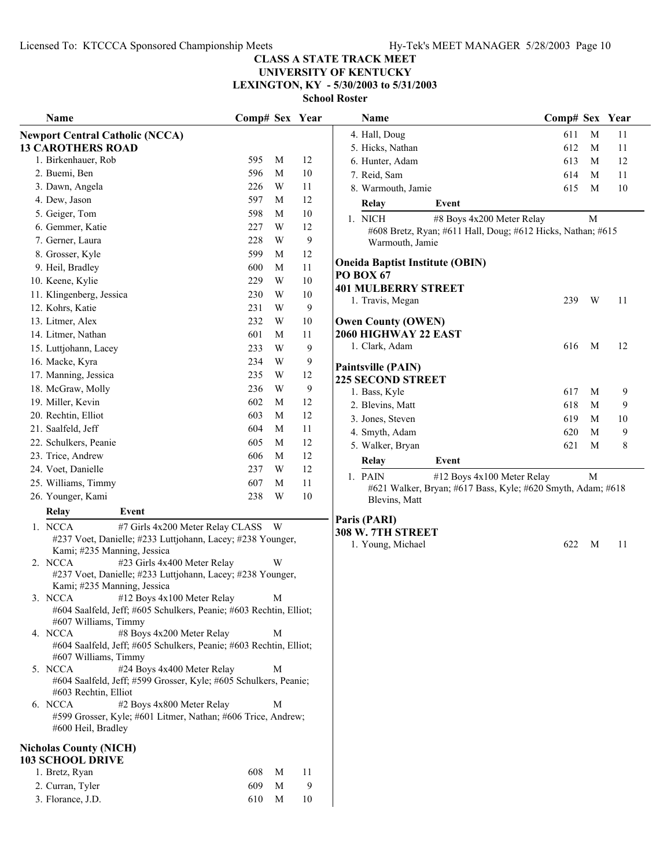## **UNIVERSITY OF KENTUCKY**

**LEXINGTON, KY - 5/30/2003 to 5/31/2003**

|    | Name                                                                                                      | Comp# Sex |   | Year |
|----|-----------------------------------------------------------------------------------------------------------|-----------|---|------|
|    | <b>Newport Central Catholic (NCCA)</b>                                                                    |           |   |      |
|    | <b>13 CAROTHERS ROAD</b>                                                                                  |           |   |      |
|    | 1. Birkenhauer, Rob                                                                                       | 595       | М | 12   |
|    | 2. Buemi, Ben                                                                                             | 596       | М | 10   |
|    | 3. Dawn, Angela                                                                                           | 226       | W | 11   |
|    | 4. Dew, Jason                                                                                             | 597       | М | 12   |
|    | 5. Geiger, Tom                                                                                            | 598       | M | 10   |
|    | 6. Gemmer, Katie                                                                                          | 227       | W | 12   |
|    | 7. Gerner, Laura                                                                                          | 228       | W | 9    |
|    | 8. Grosser, Kyle                                                                                          | 599       | М | 12   |
|    | 9. Heil, Bradley                                                                                          | 600       | М | 11   |
|    | 10. Keene, Kylie                                                                                          | 229       | W | 10   |
|    | 11. Klingenberg, Jessica                                                                                  | 230       | W | 10   |
|    | 12. Kohrs, Katie                                                                                          | 231       | W | 9    |
|    | 13. Litmer, Alex                                                                                          | 232       | W | 10   |
|    | 14. Litmer, Nathan                                                                                        | 601       | М | 11   |
|    | 15. Luttjohann, Lacey                                                                                     | 233       | W | 9    |
|    | 16. Macke, Kyra                                                                                           | 234       | W | 9    |
|    | 17. Manning, Jessica                                                                                      | 235       | W | 12   |
|    | 18. McGraw, Molly                                                                                         | 236       | W | 9    |
|    | 19. Miller, Kevin                                                                                         | 602       | М | 12   |
|    | 20. Rechtin, Elliot                                                                                       | 603       | М | 12   |
|    | 21. Saalfeld, Jeff                                                                                        | 604       | М | 11   |
|    | 22. Schulkers, Peanie                                                                                     | 605       | М | 12   |
|    | 23. Trice, Andrew                                                                                         | 606       | М | 12   |
|    | 24. Voet, Danielle                                                                                        | 237       | W | 12   |
|    | 25. Williams, Timmy                                                                                       | 607       | M | 11   |
|    | 26. Younger, Kami                                                                                         | 238       | W | 10   |
|    | Event<br>Relay                                                                                            |           |   |      |
| 1. | #7 Girls 4x200 Meter Relay CLASS<br><b>NCCA</b>                                                           |           | W |      |
|    | #237 Voet, Danielle; #233 Luttjohann, Lacey; #238 Younger,                                                |           |   |      |
|    | Kami; #235 Manning, Jessica                                                                               |           |   |      |
|    | 2. NCCA<br>#23 Girls 4x400 Meter Relay                                                                    |           | W |      |
|    | #237 Voet, Danielle; #233 Luttjohann, Lacey; #238 Younger,                                                |           |   |      |
| 3. | Kami; #235 Manning, Jessica<br><b>NCCA</b><br>#12 Boys 4x100 Meter Relay                                  |           | М |      |
|    | #604 Saalfeld, Jeff; #605 Schulkers, Peanie; #603 Rechtin, Elliot;                                        |           |   |      |
|    | #607 Williams, Timmy                                                                                      |           |   |      |
|    | #8 Boys 4x200 Meter Relay<br>4. NCCA                                                                      |           | М |      |
|    | #604 Saalfeld, Jeff; #605 Schulkers, Peanie; #603 Rechtin, Elliot;                                        |           |   |      |
|    | #607 Williams, Timmy                                                                                      |           |   |      |
|    | #24 Boys 4x400 Meter Relay<br>5. NCCA<br>#604 Saalfeld, Jeff; #599 Grosser, Kyle; #605 Schulkers, Peanie; |           | М |      |
|    | #603 Rechtin, Elliot                                                                                      |           |   |      |
| 6. | <b>NCCA</b><br>#2 Boys 4x800 Meter Relay                                                                  |           | М |      |
|    | #599 Grosser, Kyle; #601 Litmer, Nathan; #606 Trice, Andrew;                                              |           |   |      |
|    | #600 Heil, Bradley                                                                                        |           |   |      |
|    | <b>Nicholas County (NICH)</b>                                                                             |           |   |      |
|    | <b>103 SCHOOL DRIVE</b>                                                                                   |           |   |      |
|    | 1. Bretz, Ryan                                                                                            | 608       | М | 11   |
|    | 2. Curran, Tyler                                                                                          | 609       | М | 9    |

3. Florance, J.D. 610 M 10

|     |   |                                         | Name                                                                                                                                                                                                                                                                                                                                                       |                                                                                                                                                                                                                                                                                                                                                                                                                                          |                                                                                                          |                                                                                                                                                                                           |
|-----|---|-----------------------------------------|------------------------------------------------------------------------------------------------------------------------------------------------------------------------------------------------------------------------------------------------------------------------------------------------------------------------------------------------------------|------------------------------------------------------------------------------------------------------------------------------------------------------------------------------------------------------------------------------------------------------------------------------------------------------------------------------------------------------------------------------------------------------------------------------------------|----------------------------------------------------------------------------------------------------------|-------------------------------------------------------------------------------------------------------------------------------------------------------------------------------------------|
|     |   |                                         | 4. Hall, Doug                                                                                                                                                                                                                                                                                                                                              | 611                                                                                                                                                                                                                                                                                                                                                                                                                                      | M                                                                                                        | 11                                                                                                                                                                                        |
|     |   |                                         | 5. Hicks, Nathan                                                                                                                                                                                                                                                                                                                                           | 612                                                                                                                                                                                                                                                                                                                                                                                                                                      | M                                                                                                        | 11                                                                                                                                                                                        |
| 595 | M | 12                                      | 6. Hunter, Adam                                                                                                                                                                                                                                                                                                                                            | 613                                                                                                                                                                                                                                                                                                                                                                                                                                      | M                                                                                                        | 12                                                                                                                                                                                        |
| 596 | M | 10                                      | 7. Reid, Sam                                                                                                                                                                                                                                                                                                                                               | 614                                                                                                                                                                                                                                                                                                                                                                                                                                      | M                                                                                                        | 11                                                                                                                                                                                        |
| 226 | W | 11                                      | 8. Warmouth, Jamie                                                                                                                                                                                                                                                                                                                                         | 615                                                                                                                                                                                                                                                                                                                                                                                                                                      | M                                                                                                        | 10                                                                                                                                                                                        |
| 597 | M | 12                                      | Relay<br>Event                                                                                                                                                                                                                                                                                                                                             |                                                                                                                                                                                                                                                                                                                                                                                                                                          |                                                                                                          |                                                                                                                                                                                           |
| 598 | M | 10                                      |                                                                                                                                                                                                                                                                                                                                                            |                                                                                                                                                                                                                                                                                                                                                                                                                                          |                                                                                                          |                                                                                                                                                                                           |
| 227 | W | 12                                      |                                                                                                                                                                                                                                                                                                                                                            |                                                                                                                                                                                                                                                                                                                                                                                                                                          |                                                                                                          |                                                                                                                                                                                           |
| 228 | W | 9                                       | Warmouth, Jamie                                                                                                                                                                                                                                                                                                                                            |                                                                                                                                                                                                                                                                                                                                                                                                                                          |                                                                                                          |                                                                                                                                                                                           |
| 599 | M | 12                                      |                                                                                                                                                                                                                                                                                                                                                            |                                                                                                                                                                                                                                                                                                                                                                                                                                          |                                                                                                          |                                                                                                                                                                                           |
| 600 | M | 11                                      |                                                                                                                                                                                                                                                                                                                                                            |                                                                                                                                                                                                                                                                                                                                                                                                                                          |                                                                                                          |                                                                                                                                                                                           |
| 229 | W | 10                                      |                                                                                                                                                                                                                                                                                                                                                            |                                                                                                                                                                                                                                                                                                                                                                                                                                          |                                                                                                          |                                                                                                                                                                                           |
| 230 | W | 10                                      |                                                                                                                                                                                                                                                                                                                                                            |                                                                                                                                                                                                                                                                                                                                                                                                                                          |                                                                                                          | 11                                                                                                                                                                                        |
| 231 | W | 9                                       |                                                                                                                                                                                                                                                                                                                                                            |                                                                                                                                                                                                                                                                                                                                                                                                                                          |                                                                                                          |                                                                                                                                                                                           |
| 232 | W | 10                                      | <b>Owen County (OWEN)</b>                                                                                                                                                                                                                                                                                                                                  |                                                                                                                                                                                                                                                                                                                                                                                                                                          |                                                                                                          |                                                                                                                                                                                           |
| 601 | М | 11                                      | 2060 HIGHWAY 22 EAST                                                                                                                                                                                                                                                                                                                                       |                                                                                                                                                                                                                                                                                                                                                                                                                                          |                                                                                                          |                                                                                                                                                                                           |
| 233 | W | 9                                       |                                                                                                                                                                                                                                                                                                                                                            | 616                                                                                                                                                                                                                                                                                                                                                                                                                                      | M                                                                                                        | 12                                                                                                                                                                                        |
| 234 | W | 9                                       |                                                                                                                                                                                                                                                                                                                                                            |                                                                                                                                                                                                                                                                                                                                                                                                                                          |                                                                                                          |                                                                                                                                                                                           |
| 235 | W | 12                                      |                                                                                                                                                                                                                                                                                                                                                            |                                                                                                                                                                                                                                                                                                                                                                                                                                          |                                                                                                          |                                                                                                                                                                                           |
| 236 | W | 9                                       |                                                                                                                                                                                                                                                                                                                                                            |                                                                                                                                                                                                                                                                                                                                                                                                                                          |                                                                                                          | 9                                                                                                                                                                                         |
| 602 | M | 12                                      |                                                                                                                                                                                                                                                                                                                                                            |                                                                                                                                                                                                                                                                                                                                                                                                                                          |                                                                                                          | 9                                                                                                                                                                                         |
| 603 | M | 12                                      |                                                                                                                                                                                                                                                                                                                                                            |                                                                                                                                                                                                                                                                                                                                                                                                                                          |                                                                                                          | 10                                                                                                                                                                                        |
| 604 | M | 11                                      |                                                                                                                                                                                                                                                                                                                                                            |                                                                                                                                                                                                                                                                                                                                                                                                                                          |                                                                                                          | 9                                                                                                                                                                                         |
| 605 | M | 12                                      |                                                                                                                                                                                                                                                                                                                                                            |                                                                                                                                                                                                                                                                                                                                                                                                                                          |                                                                                                          | 8                                                                                                                                                                                         |
| 606 | M | 12                                      |                                                                                                                                                                                                                                                                                                                                                            |                                                                                                                                                                                                                                                                                                                                                                                                                                          |                                                                                                          |                                                                                                                                                                                           |
| 237 | W | 12                                      |                                                                                                                                                                                                                                                                                                                                                            |                                                                                                                                                                                                                                                                                                                                                                                                                                          |                                                                                                          |                                                                                                                                                                                           |
| 607 | M | 11                                      |                                                                                                                                                                                                                                                                                                                                                            |                                                                                                                                                                                                                                                                                                                                                                                                                                          |                                                                                                          |                                                                                                                                                                                           |
| 238 | W | 10                                      |                                                                                                                                                                                                                                                                                                                                                            |                                                                                                                                                                                                                                                                                                                                                                                                                                          |                                                                                                          |                                                                                                                                                                                           |
|     |   |                                         |                                                                                                                                                                                                                                                                                                                                                            |                                                                                                                                                                                                                                                                                                                                                                                                                                          |                                                                                                          |                                                                                                                                                                                           |
|     |   |                                         |                                                                                                                                                                                                                                                                                                                                                            |                                                                                                                                                                                                                                                                                                                                                                                                                                          |                                                                                                          |                                                                                                                                                                                           |
|     |   |                                         |                                                                                                                                                                                                                                                                                                                                                            |                                                                                                                                                                                                                                                                                                                                                                                                                                          |                                                                                                          | 11                                                                                                                                                                                        |
|     |   |                                         |                                                                                                                                                                                                                                                                                                                                                            |                                                                                                                                                                                                                                                                                                                                                                                                                                          |                                                                                                          |                                                                                                                                                                                           |
|     | W |                                         |                                                                                                                                                                                                                                                                                                                                                            |                                                                                                                                                                                                                                                                                                                                                                                                                                          |                                                                                                          |                                                                                                                                                                                           |
|     |   |                                         |                                                                                                                                                                                                                                                                                                                                                            |                                                                                                                                                                                                                                                                                                                                                                                                                                          |                                                                                                          |                                                                                                                                                                                           |
|     |   |                                         |                                                                                                                                                                                                                                                                                                                                                            |                                                                                                                                                                                                                                                                                                                                                                                                                                          |                                                                                                          |                                                                                                                                                                                           |
|     |   |                                         |                                                                                                                                                                                                                                                                                                                                                            |                                                                                                                                                                                                                                                                                                                                                                                                                                          |                                                                                                          |                                                                                                                                                                                           |
|     |   |                                         |                                                                                                                                                                                                                                                                                                                                                            |                                                                                                                                                                                                                                                                                                                                                                                                                                          |                                                                                                          |                                                                                                                                                                                           |
|     | M |                                         |                                                                                                                                                                                                                                                                                                                                                            |                                                                                                                                                                                                                                                                                                                                                                                                                                          |                                                                                                          |                                                                                                                                                                                           |
|     |   |                                         |                                                                                                                                                                                                                                                                                                                                                            |                                                                                                                                                                                                                                                                                                                                                                                                                                          |                                                                                                          |                                                                                                                                                                                           |
|     |   |                                         |                                                                                                                                                                                                                                                                                                                                                            |                                                                                                                                                                                                                                                                                                                                                                                                                                          |                                                                                                          |                                                                                                                                                                                           |
|     | M |                                         |                                                                                                                                                                                                                                                                                                                                                            |                                                                                                                                                                                                                                                                                                                                                                                                                                          |                                                                                                          |                                                                                                                                                                                           |
|     |   |                                         |                                                                                                                                                                                                                                                                                                                                                            |                                                                                                                                                                                                                                                                                                                                                                                                                                          |                                                                                                          |                                                                                                                                                                                           |
|     | M |                                         |                                                                                                                                                                                                                                                                                                                                                            |                                                                                                                                                                                                                                                                                                                                                                                                                                          |                                                                                                          |                                                                                                                                                                                           |
|     |   | #7 Girls 4x200 Meter Relay CLASS W<br>M | Comp# Sex Year<br>#237 Voet, Danielle; #233 Luttjohann, Lacey; #238 Younger,<br>#237 Voet, Danielle; #233 Luttjohann, Lacey; #238 Younger,<br>#604 Saalfeld, Jeff; #605 Schulkers, Peanie; #603 Rechtin, Elliot;<br>#604 Saalfeld, Jeff; #605 Schulkers, Peanie; #603 Rechtin, Elliot;<br>#604 Saalfeld, Jeff; #599 Grosser, Kyle; #605 Schulkers, Peanie; | <b>School Roster</b><br>1. NICH<br><b>Oneida Baptist Institute (OBIN)</b><br><b>PO BOX 67</b><br><b>401 MULBERRY STREET</b><br>1. Travis, Megan<br>1. Clark, Adam<br><b>Paintsville (PAIN)</b><br><b>225 SECOND STREET</b><br>1. Bass, Kyle<br>2. Blevins, Matt<br>3. Jones, Steven<br>4. Smyth, Adam<br>5. Walker, Bryan<br>Relay<br>Event<br>1. PAIN<br>Blevins, Matt<br>Paris (PARI)<br><b>308 W. 7TH STREET</b><br>1. Young, Michael | #8 Boys 4x200 Meter Relay<br>239<br>617<br>618<br>619<br>620<br>621<br>#12 Boys 4x100 Meter Relay<br>622 | Comp# Sex Year<br>M<br>#608 Bretz, Ryan; #611 Hall, Doug; #612 Hicks, Nathan; #615<br>W<br>M<br>М<br>М<br>M<br>M<br>M<br>#621 Walker, Bryan; #617 Bass, Kyle; #620 Smyth, Adam; #618<br>M |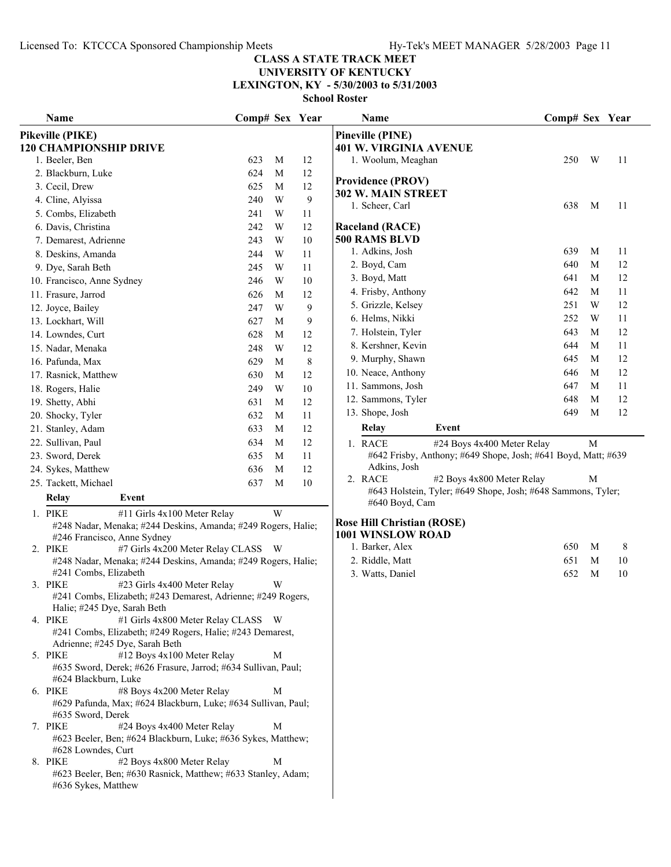# **UNIVERSITY OF KENTUCKY**

**LEXINGTON, KY - 5/30/2003 to 5/31/2003**

| Name                                                                                                 | Comp# Sex Year |             |           | Name                                                                                                 | Comp# Sex Year |   |    |
|------------------------------------------------------------------------------------------------------|----------------|-------------|-----------|------------------------------------------------------------------------------------------------------|----------------|---|----|
| <b>Pikeville (PIKE)</b>                                                                              |                |             |           | <b>Pineville (PINE)</b>                                                                              |                |   |    |
| <b>120 CHAMPIONSHIP DRIVE</b>                                                                        |                |             |           | <b>401 W. VIRGINIA AVENUE</b>                                                                        |                |   |    |
| 1. Beeler, Ben                                                                                       | 623            | M           | 12        | 1. Woolum, Meaghan                                                                                   | 250            | W | 11 |
| 2. Blackburn, Luke                                                                                   | 624            | M           | 12        | <b>Providence (PROV)</b>                                                                             |                |   |    |
| 3. Cecil, Drew                                                                                       | 625            | M           | 12        | 302 W. MAIN STREET                                                                                   |                |   |    |
| 4. Cline, Alyissa                                                                                    | 240            | W           | 9         | 1. Scheer, Carl                                                                                      | 638            | M | 11 |
| 5. Combs, Elizabeth                                                                                  | 241            | W           | 11        |                                                                                                      |                |   |    |
| 6. Davis, Christina                                                                                  | 242            | W           | 12        | <b>Raceland (RACE)</b>                                                                               |                |   |    |
| 7. Demarest, Adrienne                                                                                | 243            | W           | 10        | 500 RAMS BLVD                                                                                        |                |   |    |
| 8. Deskins, Amanda                                                                                   | 244            | W           | 11        | 1. Adkins, Josh                                                                                      | 639            | M | 11 |
| 9. Dye, Sarah Beth                                                                                   | 245            | W           | 11        | 2. Boyd, Cam                                                                                         | 640            | M | 12 |
| 10. Francisco, Anne Sydney                                                                           | 246            | W           | $10\,$    | 3. Boyd, Matt                                                                                        | 641            | M | 12 |
| 11. Frasure, Jarrod                                                                                  | 626            | M           | 12        | 4. Frisby, Anthony                                                                                   | 642            | M | 11 |
| 12. Joyce, Bailey                                                                                    | 247            | W           | 9         | 5. Grizzle, Kelsey                                                                                   | 251            | W | 12 |
| 13. Lockhart, Will                                                                                   | 627            | M           | 9         | 6. Helms, Nikki                                                                                      | 252            | W | 11 |
| 14. Lowndes, Curt                                                                                    | 628            | M           | 12        | 7. Holstein, Tyler                                                                                   | 643            | M | 12 |
| 15. Nadar, Menaka                                                                                    | 248            | W           | 12        | 8. Kershner, Kevin                                                                                   | 644            | M | 11 |
| 16. Pafunda, Max                                                                                     | 629            | M           | $\,$ $\,$ | 9. Murphy, Shawn                                                                                     | 645            | M | 12 |
| 17. Rasnick, Matthew                                                                                 | 630            | M           | 12        | 10. Neace, Anthony                                                                                   | 646            | M | 12 |
| 18. Rogers, Halie                                                                                    | 249            | W           | $10\,$    | 11. Sammons, Josh                                                                                    | 647            | M | 11 |
| 19. Shetty, Abhi                                                                                     | 631            | M           | 12        | 12. Sammons, Tyler                                                                                   | 648            | M | 12 |
| 20. Shocky, Tyler                                                                                    | 632            | M           | 11        | 13. Shope, Josh                                                                                      | 649            | M | 12 |
| 21. Stanley, Adam                                                                                    | 633            | M           | 12        | Relay<br>Event                                                                                       |                |   |    |
| 22. Sullivan, Paul                                                                                   | 634            | M           | 12        | 1. RACE<br>#24 Boys 4x400 Meter Relay                                                                |                | M |    |
| 23. Sword, Derek                                                                                     | 635            | M           | 11        | #642 Frisby, Anthony; #649 Shope, Josh; #641 Boyd, Matt; #639                                        |                |   |    |
| 24. Sykes, Matthew                                                                                   | 636            | M           | 12        | Adkins, Josh                                                                                         |                |   |    |
| 25. Tackett, Michael                                                                                 | 637            | M           | $10\,$    | #2 Boys 4x800 Meter Relay<br>2. RACE<br>#643 Holstein, Tyler; #649 Shope, Josh; #648 Sammons, Tyler; |                | M |    |
| Relay<br>Event                                                                                       |                |             |           | #640 Boyd, Cam                                                                                       |                |   |    |
| 1. PIKE<br>#11 Girls 4x100 Meter Relay                                                               |                | W           |           |                                                                                                      |                |   |    |
| #248 Nadar, Menaka; #244 Deskins, Amanda; #249 Rogers, Halie;                                        |                |             |           | <b>Rose Hill Christian (ROSE)</b>                                                                    |                |   |    |
| #246 Francisco, Anne Sydney                                                                          |                |             |           | 1001 WINSLOW ROAD                                                                                    |                |   |    |
| 2. PIKE<br>#7 Girls 4x200 Meter Relay CLASS W                                                        |                |             |           | 1. Barker, Alex                                                                                      | 650            | M | 8  |
| #248 Nadar, Menaka; #244 Deskins, Amanda; #249 Rogers, Halie;                                        |                |             |           | 2. Riddle, Matt                                                                                      | 651            | M | 10 |
| #241 Combs, Elizabeth<br>3. PIKE<br>#23 Girls 4x400 Meter Relay                                      |                | W           |           | 3. Watts, Daniel                                                                                     | 652            | M | 10 |
| #241 Combs, Elizabeth; #243 Demarest, Adrienne; #249 Rogers,                                         |                |             |           |                                                                                                      |                |   |    |
| Halie; #245 Dye, Sarah Beth                                                                          |                |             |           |                                                                                                      |                |   |    |
| 4. PIKE<br>#1 Girls 4x800 Meter Relay CLASS W                                                        |                |             |           |                                                                                                      |                |   |    |
| #241 Combs, Elizabeth; #249 Rogers, Halie; #243 Demarest,                                            |                |             |           |                                                                                                      |                |   |    |
| Adrienne; #245 Dye, Sarah Beth                                                                       |                |             |           |                                                                                                      |                |   |    |
| #12 Boys 4x100 Meter Relay<br>5. PIKE                                                                |                | M           |           |                                                                                                      |                |   |    |
| #635 Sword, Derek; #626 Frasure, Jarrod; #634 Sullivan, Paul;                                        |                |             |           |                                                                                                      |                |   |    |
| #624 Blackburn, Luke<br>6. PIKE<br>#8 Boys 4x200 Meter Relay                                         |                | M           |           |                                                                                                      |                |   |    |
| #629 Pafunda, Max; #624 Blackburn, Luke; #634 Sullivan, Paul;                                        |                |             |           |                                                                                                      |                |   |    |
| #635 Sword, Derek                                                                                    |                |             |           |                                                                                                      |                |   |    |
| 7. PIKE<br>#24 Boys 4x400 Meter Relay                                                                |                | $\mathbf M$ |           |                                                                                                      |                |   |    |
| #623 Beeler, Ben; #624 Blackburn, Luke; #636 Sykes, Matthew;                                         |                |             |           |                                                                                                      |                |   |    |
| #628 Lowndes, Curt                                                                                   |                |             |           |                                                                                                      |                |   |    |
| #2 Boys 4x800 Meter Relay<br>8. PIKE<br>#623 Beeler, Ben; #630 Rasnick, Matthew; #633 Stanley, Adam; |                | M           |           |                                                                                                      |                |   |    |
| #636 Sykes, Matthew                                                                                  |                |             |           |                                                                                                      |                |   |    |
|                                                                                                      |                |             |           |                                                                                                      |                |   |    |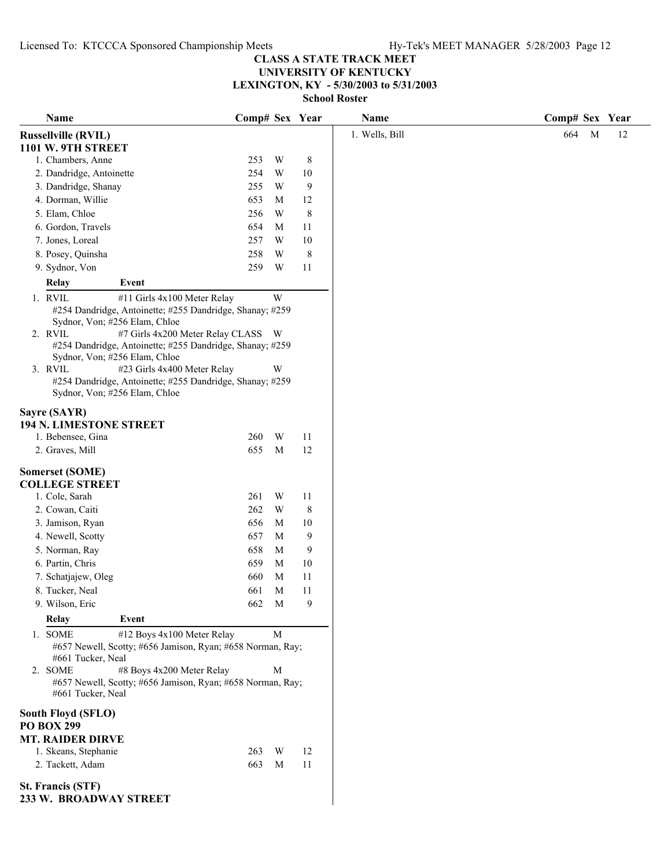**UNIVERSITY OF KENTUCKY**

**LEXINGTON, KY - 5/30/2003 to 5/31/2003**

| Name                                                                                                                                                                                                                                                | Comp# Sex Year |                         |           | Name           | Comp# Sex Year |
|-----------------------------------------------------------------------------------------------------------------------------------------------------------------------------------------------------------------------------------------------------|----------------|-------------------------|-----------|----------------|----------------|
| <b>Russellville (RVIL)</b>                                                                                                                                                                                                                          |                |                         |           | 1. Wells, Bill | 664<br>M<br>12 |
| 1101 W. 9TH STREET                                                                                                                                                                                                                                  |                |                         |           |                |                |
| 1. Chambers, Anne                                                                                                                                                                                                                                   | 253            | W                       | $\,8\,$   |                |                |
| 2. Dandridge, Antoinette                                                                                                                                                                                                                            | 254            | W                       | 10        |                |                |
| 3. Dandridge, Shanay                                                                                                                                                                                                                                | 255            | W                       | 9         |                |                |
| 4. Dorman, Willie                                                                                                                                                                                                                                   | 653            | M                       | 12        |                |                |
| 5. Elam, Chloe                                                                                                                                                                                                                                      | 256            | W                       | $\,$ $\,$ |                |                |
| 6. Gordon, Travels                                                                                                                                                                                                                                  | 654            | M                       | 11        |                |                |
| 7. Jones, Loreal                                                                                                                                                                                                                                    | 257            | W                       | 10        |                |                |
| 8. Posey, Quinsha                                                                                                                                                                                                                                   | 258            | W                       | 8         |                |                |
| 9. Sydnor, Von                                                                                                                                                                                                                                      | 259            | W                       | 11        |                |                |
| Event<br>Relay                                                                                                                                                                                                                                      |                |                         |           |                |                |
| 1. RVIL<br>#11 Girls 4x100 Meter Relay                                                                                                                                                                                                              |                | $\ensuremath{\text{W}}$ |           |                |                |
| #254 Dandridge, Antoinette; #255 Dandridge, Shanay; #259<br>Sydnor, Von; #256 Elam, Chloe                                                                                                                                                           |                |                         |           |                |                |
| #7 Girls 4x200 Meter Relay CLASS W<br>2. RVIL                                                                                                                                                                                                       |                |                         |           |                |                |
| #254 Dandridge, Antoinette; #255 Dandridge, Shanay; #259<br>Sydnor, Von; #256 Elam, Chloe                                                                                                                                                           |                |                         |           |                |                |
| 3. RVIL<br>#23 Girls 4x400 Meter Relay                                                                                                                                                                                                              |                | W                       |           |                |                |
| #254 Dandridge, Antoinette; #255 Dandridge, Shanay; #259<br>Sydnor, Von; #256 Elam, Chloe                                                                                                                                                           |                |                         |           |                |                |
| Sayre (SAYR)<br>194 N. LIMESTONE STREET                                                                                                                                                                                                             |                |                         |           |                |                |
| 1. Bebensee, Gina                                                                                                                                                                                                                                   | 260            | W                       | 11        |                |                |
| 2. Graves, Mill                                                                                                                                                                                                                                     | 655            | M                       | 12        |                |                |
| <b>Somerset (SOME)</b><br><b>COLLEGE STREET</b>                                                                                                                                                                                                     |                |                         |           |                |                |
| 1. Cole, Sarah                                                                                                                                                                                                                                      | 261            | W                       | 11        |                |                |
| 2. Cowan, Caiti                                                                                                                                                                                                                                     | 262            | W                       | 8         |                |                |
| 3. Jamison, Ryan                                                                                                                                                                                                                                    | 656            | M                       | 10        |                |                |
| 4. Newell, Scotty                                                                                                                                                                                                                                   | 657            | M                       | 9         |                |                |
| 5. Norman, Ray                                                                                                                                                                                                                                      | 658            | M                       | 9         |                |                |
| 6. Partin, Chris                                                                                                                                                                                                                                    | 659            | M                       | 10        |                |                |
| 7. Schatjajew, Oleg                                                                                                                                                                                                                                 | 660            | M                       | 11        |                |                |
| 8. Tucker, Neal                                                                                                                                                                                                                                     | 661            | M                       | 11        |                |                |
| 9. Wilson, Eric                                                                                                                                                                                                                                     | 662            | M                       | 9         |                |                |
| <b>Relay</b><br>Event                                                                                                                                                                                                                               |                |                         |           |                |                |
| #12 Boys 4x100 Meter Relay<br>1. SOME<br>#657 Newell, Scotty; #656 Jamison, Ryan; #658 Norman, Ray;<br>#661 Tucker, Neal<br>#8 Boys 4x200 Meter Relay<br>2. SOME<br>#657 Newell, Scotty; #656 Jamison, Ryan; #658 Norman, Ray;<br>#661 Tucker, Neal |                | $\mathbf M$<br>M        |           |                |                |
| South Floyd (SFLO)<br><b>PO BOX 299</b>                                                                                                                                                                                                             |                |                         |           |                |                |
| <b>MT. RAIDER DIRVE</b>                                                                                                                                                                                                                             |                |                         |           |                |                |
| 1. Skeans, Stephanie                                                                                                                                                                                                                                | 263            | W                       | 12        |                |                |
| 2. Tackett, Adam                                                                                                                                                                                                                                    | 663            | M                       | 11        |                |                |
| <b>St. Francis (STF)</b><br>233 W. BROADWAY STREET                                                                                                                                                                                                  |                |                         |           |                |                |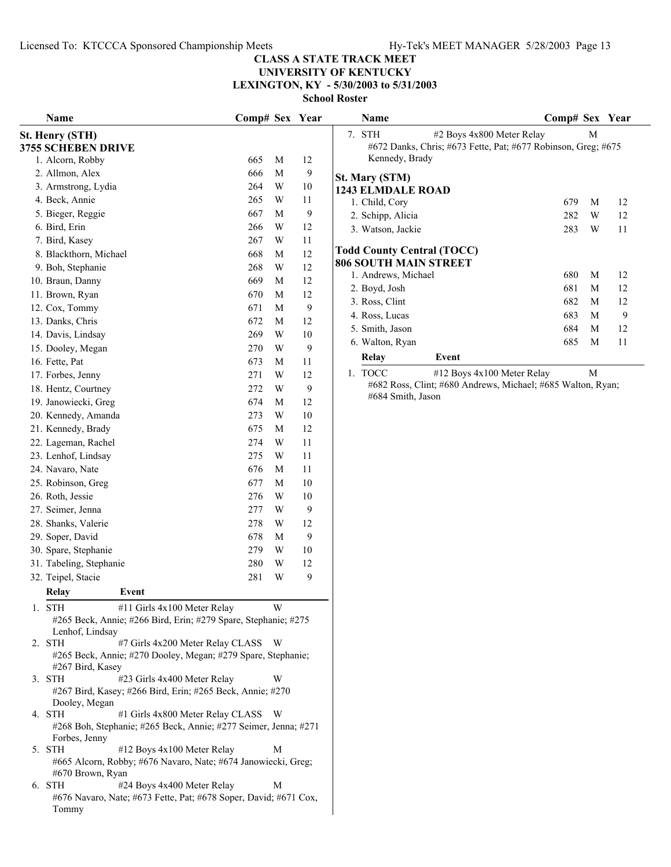## **UNIVERSITY OF KENTUCKY LEXINGTON, KY - 5/30/2003 to 5/31/2003**

**School Roster**

| Name                                                                                                                             | Comp# Sex Year |                         |        | Name                                                          | Comp# Sex Year     |    |
|----------------------------------------------------------------------------------------------------------------------------------|----------------|-------------------------|--------|---------------------------------------------------------------|--------------------|----|
| St. Henry (STH)                                                                                                                  |                |                         |        | #2 Boys 4x800 Meter Relay<br>7. STH                           | M                  |    |
| <b>3755 SCHEBEN DRIVE</b>                                                                                                        |                |                         |        | #672 Danks, Chris; #673 Fette, Pat; #677 Robinson, Greg; #675 |                    |    |
| 1. Alcorn, Robby                                                                                                                 | 665            | M                       | 12     | Kennedy, Brady                                                |                    |    |
| 2. Allmon, Alex                                                                                                                  | 666            | $\mathbf M$             | 9      | St. Mary (STM)                                                |                    |    |
| 3. Armstrong, Lydia                                                                                                              | 264            | $\ensuremath{\text{W}}$ | 10     | <b>1243 ELMDALE ROAD</b>                                      |                    |    |
| 4. Beck, Annie                                                                                                                   | 265            | $\ensuremath{\text{W}}$ | 11     | 1. Child, Cory                                                | 679<br>M           | 12 |
| 5. Bieger, Reggie                                                                                                                | 667            | M                       | 9      | 2. Schipp, Alicia                                             | W<br>282           | 12 |
| 6. Bird, Erin                                                                                                                    | 266            | $\ensuremath{\text{W}}$ | 12     | 3. Watson, Jackie                                             | 283<br>W           | 11 |
| 7. Bird, Kasey                                                                                                                   | 267            | W                       | 11     |                                                               |                    |    |
| 8. Blackthorn, Michael                                                                                                           | 668            | M                       | 12     | <b>Todd County Central (TOCC)</b>                             |                    |    |
| 9. Boh, Stephanie                                                                                                                | 268            | W                       | 12     | <b>806 SOUTH MAIN STREET</b>                                  | 680<br>M           |    |
| 10. Braun, Danny                                                                                                                 | 669            | M                       | 12     | 1. Andrews, Michael                                           | 681<br>$\mathbf M$ | 12 |
| 11. Brown, Ryan                                                                                                                  | 670            | M                       | 12     | 2. Boyd, Josh                                                 |                    | 12 |
| 12. Cox, Tommy                                                                                                                   | 671            | M                       | 9      | 3. Ross, Clint                                                | 682<br>M           | 12 |
| 13. Danks, Chris                                                                                                                 | 672            | M                       | 12     | 4. Ross, Lucas                                                | 683<br>M           | 9  |
| 14. Davis, Lindsay                                                                                                               | 269            | $\ensuremath{\text{W}}$ | $10\,$ | 5. Smith, Jason                                               | 684<br>M           | 12 |
| 15. Dooley, Megan                                                                                                                | 270            | $\ensuremath{\text{W}}$ | 9      | 6. Walton, Ryan                                               | 685<br>M           | 11 |
| 16. Fette, Pat                                                                                                                   | 673            | M                       | 11     | Event<br>Relay                                                |                    |    |
| 17. Forbes, Jenny                                                                                                                | 271            | W                       | 12     | 1. TOCC<br>#12 Boys 4x100 Meter Relay                         | M                  |    |
| 18. Hentz, Courtney                                                                                                              | 272            | W                       | 9      | #682 Ross, Clint; #680 Andrews, Michael; #685 Walton, Ryan;   |                    |    |
| 19. Janowiecki, Greg                                                                                                             | 674            | M                       | 12     | #684 Smith, Jason                                             |                    |    |
| 20. Kennedy, Amanda                                                                                                              | 273            | W                       | $10\,$ |                                                               |                    |    |
| 21. Kennedy, Brady                                                                                                               | 675            | M                       | 12     |                                                               |                    |    |
| 22. Lageman, Rachel                                                                                                              | 274            | $\ensuremath{\text{W}}$ | 11     |                                                               |                    |    |
| 23. Lenhof, Lindsay                                                                                                              | 275            | $\ensuremath{\text{W}}$ | 11     |                                                               |                    |    |
| 24. Navaro, Nate                                                                                                                 | 676            | M                       | 11     |                                                               |                    |    |
| 25. Robinson, Greg                                                                                                               | 677            | $\mathbf M$             | 10     |                                                               |                    |    |
| 26. Roth, Jessie                                                                                                                 | 276            | $\ensuremath{\text{W}}$ | 10     |                                                               |                    |    |
| 27. Seimer, Jenna                                                                                                                | 277            | W                       | 9      |                                                               |                    |    |
| 28. Shanks, Valerie                                                                                                              | 278            | W                       | 12     |                                                               |                    |    |
| 29. Soper, David                                                                                                                 | 678            | M                       | 9      |                                                               |                    |    |
| 30. Spare, Stephanie                                                                                                             | 279            | W                       | 10     |                                                               |                    |    |
| 31. Tabeling, Stephanie                                                                                                          | 280            | W                       | 12     |                                                               |                    |    |
| 32. Teipel, Stacie                                                                                                               | 281            | $\ensuremath{\text{W}}$ | 9      |                                                               |                    |    |
| <b>Relay</b><br>Event                                                                                                            |                |                         |        |                                                               |                    |    |
|                                                                                                                                  |                |                         |        |                                                               |                    |    |
| 1. STH<br>#11 Girls 4x100 Meter Relay<br>#265 Beck, Annie; #266 Bird, Erin; #279 Spare, Stephanie; #275                          |                | W                       |        |                                                               |                    |    |
| Lenhof, Lindsay<br>2. STH<br>#7 Girls 4x200 Meter Relay CLASS W                                                                  |                |                         |        |                                                               |                    |    |
| #265 Beck, Annie; #270 Dooley, Megan; #279 Spare, Stephanie;                                                                     |                |                         |        |                                                               |                    |    |
| #267 Bird, Kasey                                                                                                                 |                |                         |        |                                                               |                    |    |
| #23 Girls 4x400 Meter Relay<br>3. STH                                                                                            |                | W                       |        |                                                               |                    |    |
| #267 Bird, Kasey; #266 Bird, Erin; #265 Beck, Annie; #270<br>Dooley, Megan                                                       |                |                         |        |                                                               |                    |    |
| 4. STH<br>#1 Girls 4x800 Meter Relay CLASS W<br>#268 Boh, Stephanie; #265 Beck, Annie; #277 Seimer, Jenna; #271<br>Forbes, Jenny |                |                         |        |                                                               |                    |    |
| 5. STH<br>#12 Boys 4x100 Meter Relay<br>#665 Alcorn, Robby; #676 Navaro, Nate; #674 Janowiecki, Greg;                            |                | M                       |        |                                                               |                    |    |
| #670 Brown, Ryan<br>#24 Boys 4x400 Meter Relay<br>6. STH<br>#676 Navaro, Nate; #673 Fette, Pat; #678 Soper, David; #671 Cox,     |                | M                       |        |                                                               |                    |    |
| Tommy                                                                                                                            |                |                         |        |                                                               |                    |    |

| ташс                               |                                                                                            | $\mathbf{C}$ UMP $\pi$ DVA |   | 1 vai |  |
|------------------------------------|--------------------------------------------------------------------------------------------|----------------------------|---|-------|--|
| <b>STH</b><br>7.<br>Kennedy, Brady | #2 Boys 4x800 Meter Relay<br>#672 Danks, Chris; #673 Fette, Pat; #677 Robinson, Greg; #675 |                            | М |       |  |
| St. Mary (STM)                     |                                                                                            |                            |   |       |  |
| <b>1243 ELMDALE ROAD</b>           |                                                                                            |                            |   |       |  |
| 1. Child, Cory                     |                                                                                            | 679                        | M | 12    |  |
| 2. Schipp, Alicia                  |                                                                                            | 282                        | W | 12    |  |
| 3. Watson, Jackie                  |                                                                                            | 283                        | W | 11    |  |
| <b>Todd County Central (TOCC)</b>  |                                                                                            |                            |   |       |  |
| <b>806 SOUTH MAIN STREET</b>       |                                                                                            |                            |   |       |  |
| 1. Andrews, Michael                |                                                                                            | 680                        | M | 12    |  |
| 2. Boyd, Josh                      |                                                                                            | 681                        | M | 12    |  |
| 3. Ross, Clint                     |                                                                                            | 682                        | M | 12    |  |
| 4. Ross, Lucas                     |                                                                                            | 683                        | M | 9     |  |
| 5. Smith, Jason                    |                                                                                            | 684                        | M | 12    |  |
| 6. Walton, Ryan                    |                                                                                            | 685                        | M | 11    |  |
| Relay                              | Event                                                                                      |                            |   |       |  |
| <b>TOCC</b><br>1.                  | #12 Boys 4x100 Meter Relay<br>#682 Ross, Clint: #680 Andrews, Michael: #685 Walton, Rvan:  |                            | M |       |  |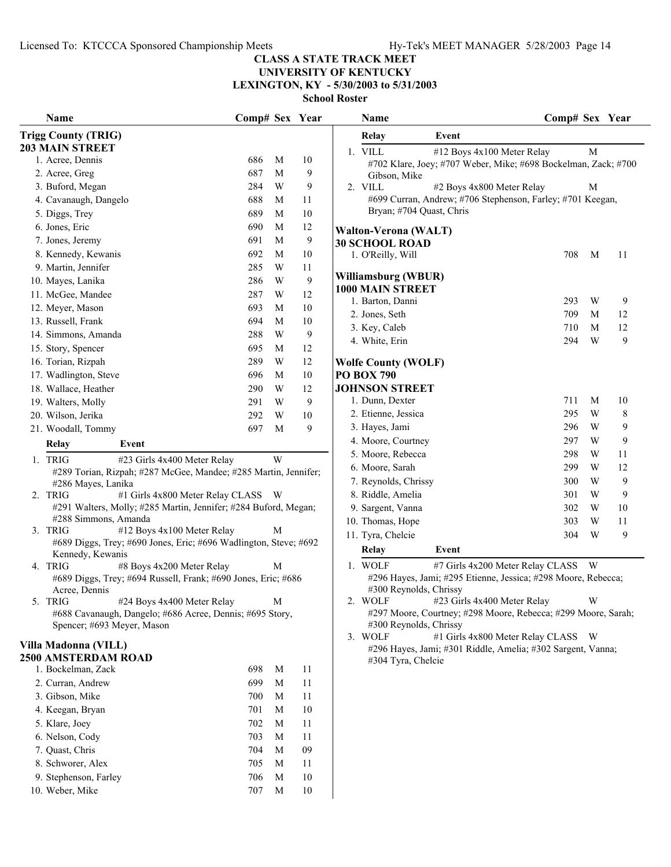## **UNIVERSITY OF KENTUCKY LEXINGTON, KY - 5/30/2003 to 5/31/2003**

| Name                                                             | Comp# Sex Year |   |                  | <b>Name</b>                                                                                                  | Comp# Sex Year |                |    |
|------------------------------------------------------------------|----------------|---|------------------|--------------------------------------------------------------------------------------------------------------|----------------|----------------|----|
| <b>Trigg County (TRIG)</b>                                       |                |   |                  | <b>Relay</b><br>Event                                                                                        |                |                |    |
| <b>203 MAIN STREET</b>                                           |                |   |                  | 1. VILL<br>#12 Boys 4x100 Meter Relay                                                                        |                | M              |    |
| 1. Acree, Dennis                                                 | 686            | M | 10               | #702 Klare, Joey; #707 Weber, Mike; #698 Bockelman, Zack; #700                                               |                |                |    |
| 2. Acree, Greg                                                   | 687            | M | 9                | Gibson, Mike                                                                                                 |                |                |    |
| 3. Buford, Megan                                                 | 284            | W | 9                | 2. VILL<br>#2 Boys 4x800 Meter Relay                                                                         |                | М              |    |
| 4. Cavanaugh, Dangelo                                            | 688            | M | 11               | #699 Curran, Andrew; #706 Stephenson, Farley; #701 Keegan,                                                   |                |                |    |
| 5. Diggs, Trey                                                   | 689            | M | 10               | Bryan; #704 Quast, Chris                                                                                     |                |                |    |
| 6. Jones, Eric                                                   | 690            | M | 12               | <b>Walton-Verona (WALT)</b>                                                                                  |                |                |    |
| 7. Jones, Jeremy                                                 | 691            | M | 9                | <b>30 SCHOOL ROAD</b>                                                                                        |                |                |    |
| 8. Kennedy, Kewanis                                              | 692            | M | $10\,$           | 1. O'Reilly, Will                                                                                            | 708            | M              | 11 |
| 9. Martin, Jennifer                                              | 285            | W | 11               |                                                                                                              |                |                |    |
| 10. Mayes, Lanika                                                | 286            | W | $\boldsymbol{9}$ | Williamsburg (WBUR)                                                                                          |                |                |    |
| 11. McGee, Mandee                                                | 287            | W | 12               | <b>1000 MAIN STREET</b><br>1. Barton, Danni                                                                  | 293            | W              | 9  |
| 12. Meyer, Mason                                                 | 693            | M | 10               | 2. Jones, Seth                                                                                               | 709            | M              | 12 |
| 13. Russell, Frank                                               | 694            | M | 10               | 3. Key, Caleb                                                                                                | 710            | M              | 12 |
| 14. Simmons, Amanda                                              | 288            | W | $\boldsymbol{9}$ | 4. White, Erin                                                                                               | 294            | W              | 9  |
| 15. Story, Spencer                                               | 695            | M | 12               |                                                                                                              |                |                |    |
| 16. Torian, Rizpah                                               | 289            | W | 12               | <b>Wolfe County (WOLF)</b>                                                                                   |                |                |    |
| 17. Wadlington, Steve                                            | 696            | M | $10\,$           | <b>PO BOX 790</b>                                                                                            |                |                |    |
| 18. Wallace, Heather                                             | 290            | W | 12               | <b>JOHNSON STREET</b>                                                                                        |                |                |    |
| 19. Walters, Molly                                               | 291            | W | 9                | 1. Dunn, Dexter                                                                                              | 711            | M              | 10 |
| 20. Wilson, Jerika                                               | 292            | W | $10\,$           | 2. Etienne, Jessica                                                                                          | 295            | W              | 8  |
| 21. Woodall, Tommy                                               | 697            | M | 9                | 3. Hayes, Jami                                                                                               | 296            | W              | 9  |
| Relay<br>Event                                                   |                |   |                  | 4. Moore, Courtney                                                                                           | 297            | W              | 9  |
| 1. TRIG<br>#23 Girls 4x400 Meter Relay                           |                | W |                  | 5. Moore, Rebecca                                                                                            | 298            | W              | 11 |
| #289 Torian, Rizpah; #287 McGee, Mandee; #285 Martin, Jennifer;  |                |   |                  | 6. Moore, Sarah                                                                                              | 299            | W              | 12 |
| #286 Mayes, Lanika                                               |                |   |                  | 7. Reynolds, Chrissy                                                                                         | 300            | W              | 9  |
| 2. TRIG<br>#1 Girls 4x800 Meter Relay CLASS W                    |                |   |                  | 8. Riddle, Amelia                                                                                            | 301            | W              | 9  |
| #291 Walters, Molly; #285 Martin, Jennifer; #284 Buford, Megan;  |                |   |                  | 9. Sargent, Vanna                                                                                            | 302            | W              | 10 |
| #288 Simmons, Amanda                                             |                |   |                  | 10. Thomas, Hope                                                                                             | 303            | W              | 11 |
| 3. TRIG<br>#12 Boys 4x100 Meter Relay                            |                | М |                  | 11. Tyra, Chelcie                                                                                            | 304            | W              | 9  |
| #689 Diggs, Trey; #690 Jones, Eric; #696 Wadlington, Steve; #692 |                |   |                  | <b>Relay</b><br>Event                                                                                        |                |                |    |
| Kennedy, Kewanis<br>4. TRIG<br>#8 Boys 4x200 Meter Relay         |                | М |                  | 1. WOLF<br>#7 Girls 4x200 Meter Relay CLASS W                                                                |                |                |    |
| #689 Diggs, Trey; #694 Russell, Frank; #690 Jones, Eric; #686    |                |   |                  | #296 Hayes, Jami; #295 Etienne, Jessica; #298 Moore, Rebecca;                                                |                |                |    |
| Acree, Dennis                                                    |                |   |                  | #300 Reynolds, Chrissy                                                                                       |                |                |    |
| 5. TRIG<br>#24 Boys 4x400 Meter Relay                            | M              |   |                  | 2. WOLF #23 Girls 4x400 Meter Relay                                                                          |                | W <sub>1</sub> |    |
| #688 Cavanaugh, Dangelo; #686 Acree, Dennis; #695 Story,         |                |   |                  | #297 Moore, Courtney; #298 Moore, Rebecca; #299 Moore, Sarah;                                                |                |                |    |
| Spencer; #693 Meyer, Mason                                       |                |   |                  | #300 Reynolds, Chrissy                                                                                       |                |                |    |
| Villa Madonna (VILL)                                             |                |   |                  | 3. WOLF<br>#1 Girls 4x800 Meter Relay CLASS W<br>#296 Hayes, Jami; #301 Riddle, Amelia; #302 Sargent, Vanna; |                |                |    |
| 2500 AMSTERDAM ROAD                                              |                |   |                  | #304 Tyra, Chelcie                                                                                           |                |                |    |
| 1. Bockelman, Zack                                               | 698            | M | 11               |                                                                                                              |                |                |    |
| 2. Curran, Andrew                                                | 699            | M | 11               |                                                                                                              |                |                |    |
| 3. Gibson, Mike                                                  | 700            | M | 11               |                                                                                                              |                |                |    |
| 4. Keegan, Bryan                                                 | 701            | M | 10               |                                                                                                              |                |                |    |
| 5. Klare, Joey                                                   | 702            | M | 11               |                                                                                                              |                |                |    |
| 6. Nelson, Cody                                                  | 703            | M | 11               |                                                                                                              |                |                |    |
| 7. Quast, Chris                                                  | 704            | M | 09               |                                                                                                              |                |                |    |
| 8. Schworer, Alex                                                | 705            | M | 11               |                                                                                                              |                |                |    |
| 9. Stephenson, Farley                                            | 706            | M | $10\,$           |                                                                                                              |                |                |    |
| 10. Weber, Mike                                                  | 707            | M | $10\,$           |                                                                                                              |                |                |    |
|                                                                  |                |   |                  |                                                                                                              |                |                |    |